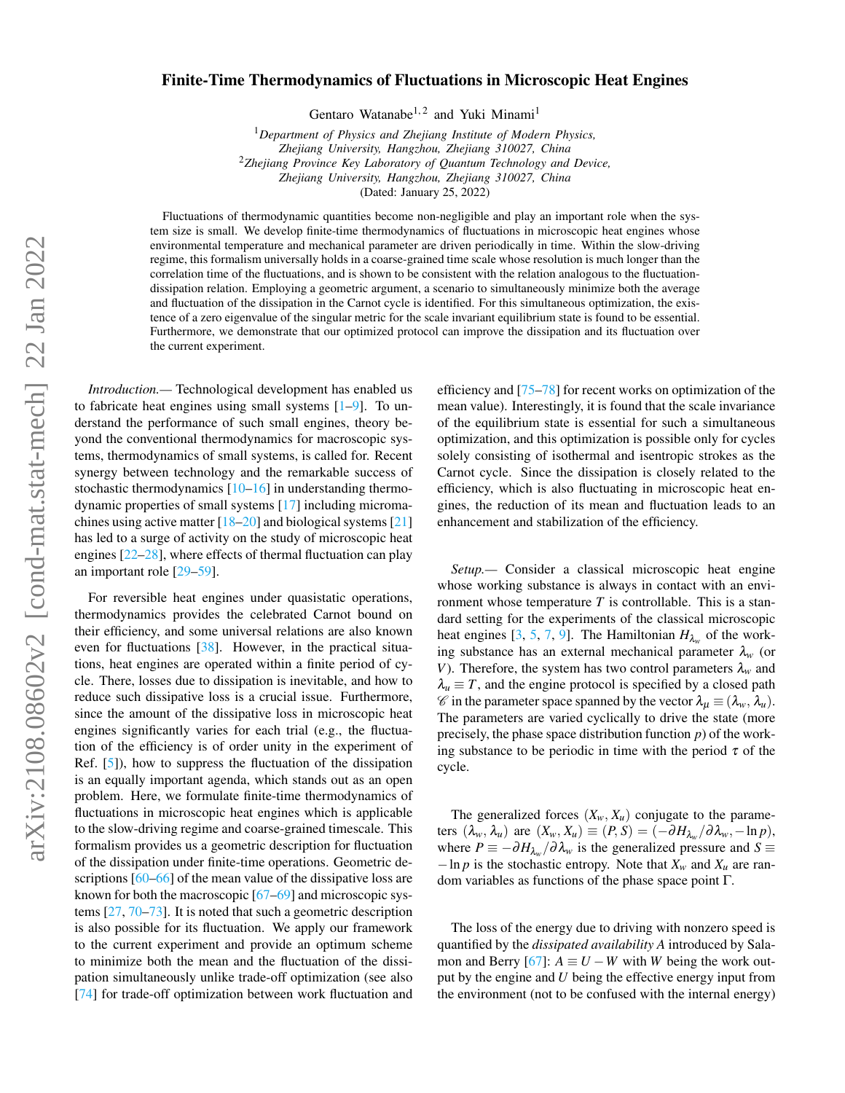## Finite-Time Thermodynamics of Fluctuations in Microscopic Heat Engines

Gentaro Watanabe<sup>1, 2</sup> and Yuki Minami<sup>1</sup>

<sup>1</sup>*Department of Physics and Zhejiang Institute of Modern Physics, Zhejiang University, Hangzhou, Zhejiang 310027, China* <sup>2</sup>*Zhejiang Province Key Laboratory of Quantum Technology and Device, Zhejiang University, Hangzhou, Zhejiang 310027, China*

(Dated: January 25, 2022)

Fluctuations of thermodynamic quantities become non-negligible and play an important role when the system size is small. We develop finite-time thermodynamics of fluctuations in microscopic heat engines whose environmental temperature and mechanical parameter are driven periodically in time. Within the slow-driving regime, this formalism universally holds in a coarse-grained time scale whose resolution is much longer than the correlation time of the fluctuations, and is shown to be consistent with the relation analogous to the fluctuationdissipation relation. Employing a geometric argument, a scenario to simultaneously minimize both the average and fluctuation of the dissipation in the Carnot cycle is identified. For this simultaneous optimization, the existence of a zero eigenvalue of the singular metric for the scale invariant equilibrium state is found to be essential. Furthermore, we demonstrate that our optimized protocol can improve the dissipation and its fluctuation over the current experiment.

*Introduction.—* Technological development has enabled us to fabricate heat engines using small systems [\[1](#page-4-0)[–9\]](#page-4-1). To understand the performance of such small engines, theory beyond the conventional thermodynamics for macroscopic systems, thermodynamics of small systems, is called for. Recent synergy between technology and the remarkable success of stochastic thermodynamics  $[10-16]$  $[10-16]$  in understanding thermodynamic properties of small systems [\[17\]](#page-5-1) including micromachines using active matter  $[18–20]$  $[18–20]$  and biological systems  $[21]$ has led to a surge of activity on the study of microscopic heat engines [\[22–](#page-5-5)[28\]](#page-5-6), where effects of thermal fluctuation can play an important role [\[29](#page-5-7)[–59\]](#page-5-8).

For reversible heat engines under quasistatic operations, thermodynamics provides the celebrated Carnot bound on their efficiency, and some universal relations are also known even for fluctuations [\[38\]](#page-5-9). However, in the practical situations, heat engines are operated within a finite period of cycle. There, losses due to dissipation is inevitable, and how to reduce such dissipative loss is a crucial issue. Furthermore, since the amount of the dissipative loss in microscopic heat engines significantly varies for each trial (e.g., the fluctuation of the efficiency is of order unity in the experiment of Ref. [\[5\]](#page-4-3)), how to suppress the fluctuation of the dissipation is an equally important agenda, which stands out as an open problem. Here, we formulate finite-time thermodynamics of fluctuations in microscopic heat engines which is applicable to the slow-driving regime and coarse-grained timescale. This formalism provides us a geometric description for fluctuation of the dissipation under finite-time operations. Geometric de-scriptions [\[60](#page-5-10)[–66\]](#page-6-0) of the mean value of the dissipative loss are known for both the macroscopic [\[67–](#page-6-1)[69\]](#page-6-2) and microscopic systems [\[27,](#page-5-11) [70](#page-6-3)[–73\]](#page-6-4). It is noted that such a geometric description is also possible for its fluctuation. We apply our framework to the current experiment and provide an optimum scheme to minimize both the mean and the fluctuation of the dissipation simultaneously unlike trade-off optimization (see also [\[74\]](#page-6-5) for trade-off optimization between work fluctuation and

efficiency and [\[75–](#page-6-6)[78\]](#page-6-7) for recent works on optimization of the mean value). Interestingly, it is found that the scale invariance of the equilibrium state is essential for such a simultaneous optimization, and this optimization is possible only for cycles solely consisting of isothermal and isentropic strokes as the Carnot cycle. Since the dissipation is closely related to the efficiency, which is also fluctuating in microscopic heat engines, the reduction of its mean and fluctuation leads to an enhancement and stabilization of the efficiency.

*Setup.—* Consider a classical microscopic heat engine whose working substance is always in contact with an environment whose temperature *T* is controllable. This is a standard setting for the experiments of the classical microscopic heat engines  $[3, 5, 7, 9]$  $[3, 5, 7, 9]$  $[3, 5, 7, 9]$  $[3, 5, 7, 9]$  $[3, 5, 7, 9]$  $[3, 5, 7, 9]$  $[3, 5, 7, 9]$ . The Hamiltonian  $H_{\lambda_w}$  of the working substance has an external mechanical parameter  $\lambda_w$  (or *V*). Therefore, the system has two control parameters  $\lambda_w$  and  $\lambda_u \equiv T$ , and the engine protocol is specified by a closed path  $\mathscr{C}$  in the parameter space spanned by the vector  $\lambda_{\mu} \equiv (\lambda_{w}, \lambda_{u}).$ The parameters are varied cyclically to drive the state (more precisely, the phase space distribution function *p*) of the working substance to be periodic in time with the period  $\tau$  of the cycle.

The generalized forces  $(X_w, X_u)$  conjugate to the parameters  $(\lambda_w, \lambda_u)$  are  $(X_w, X_u) \equiv (P, S) = (-\partial H_{\lambda_w}/\partial \lambda_w, -\ln p),$ where  $P \equiv -\partial H_{\lambda_w}/\partial \lambda_w$  is the generalized pressure and  $S \equiv$  $-\ln p$  is the stochastic entropy. Note that  $X_w$  and  $X_u$  are random variables as functions of the phase space point Γ.

The loss of the energy due to driving with nonzero speed is quantified by the *dissipated availability A* introduced by Salamon and Berry  $[67]$ :  $A \equiv U - W$  with *W* being the work output by the engine and *U* being the effective energy input from the environment (not to be confused with the internal energy)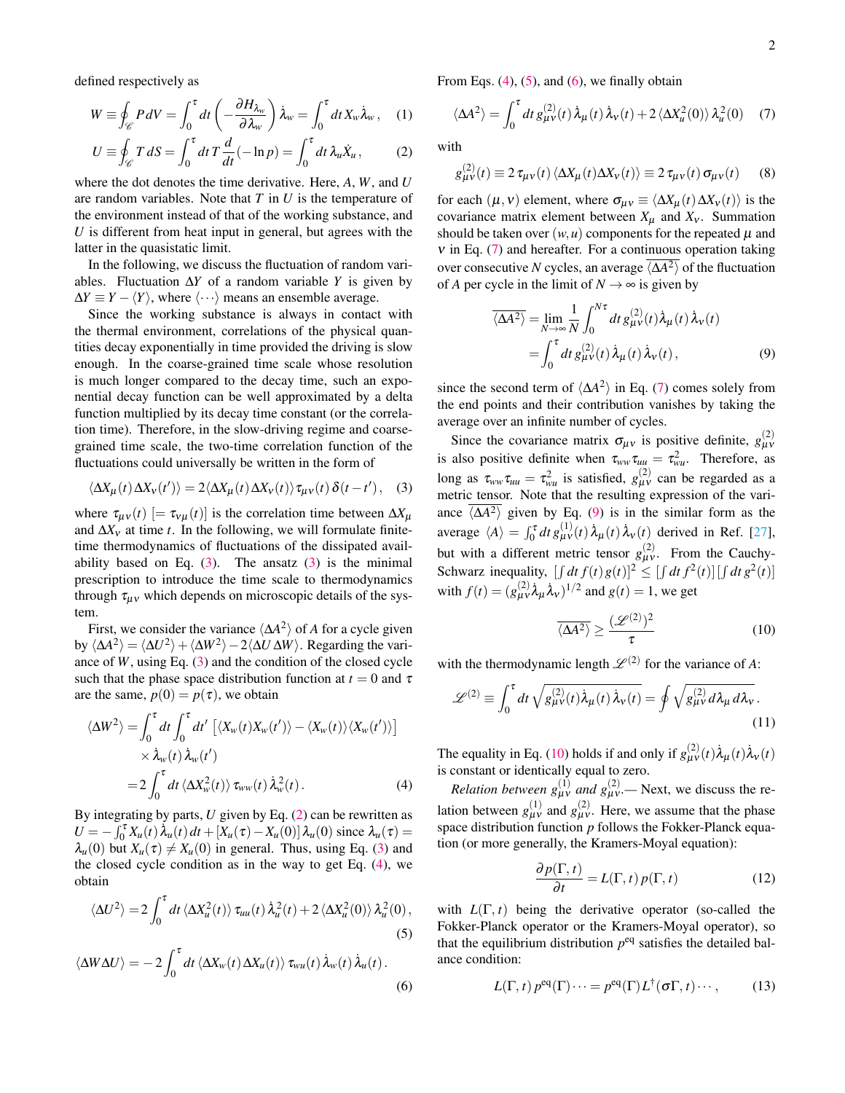defined respectively as

$$
W \equiv \oint_{\mathscr{C}} P dV = \int_0^{\tau} dt \left( -\frac{\partial H_{\lambda_w}}{\partial \lambda_w} \right) \dot{\lambda}_w = \int_0^{\tau} dt X_w \dot{\lambda}_w, \quad (1)
$$

$$
U \equiv \oint_{\mathscr{C}} T dS = \int_0^{\tau} dt \, T \frac{d}{dt} (-\ln p) = \int_0^{\tau} dt \, \lambda_u \dot{X}_u, \tag{2}
$$

where the dot denotes the time derivative. Here, *A*, *W*, and *U* are random variables. Note that *T* in *U* is the temperature of the environment instead of that of the working substance, and *U* is different from heat input in general, but agrees with the latter in the quasistatic limit.

In the following, we discuss the fluctuation of random variables. Fluctuation ∆*Y* of a random variable *Y* is given by  $\Delta Y \equiv Y - \langle Y \rangle$ , where  $\langle \cdots \rangle$  means an ensemble average.

Since the working substance is always in contact with the thermal environment, correlations of the physical quantities decay exponentially in time provided the driving is slow enough. In the coarse-grained time scale whose resolution is much longer compared to the decay time, such an exponential decay function can be well approximated by a delta function multiplied by its decay time constant (or the correlation time). Therefore, in the slow-driving regime and coarsegrained time scale, the two-time correlation function of the fluctuations could universally be written in the form of

$$
\langle \Delta X_{\mu}(t) \, \Delta X_{\nu}(t') \rangle = 2 \langle \Delta X_{\mu}(t) \, \Delta X_{\nu}(t) \rangle \tau_{\mu\nu}(t) \, \delta(t - t'), \quad (3)
$$

where  $\tau_{\mu\nu}(t)$  [=  $\tau_{\nu\mu}(t)$ ] is the correlation time between  $\Delta X_{\mu}$ and ∆*X*<sup>ν</sup> at time *t*. In the following, we will formulate finitetime thermodynamics of fluctuations of the dissipated availability based on Eq.  $(3)$ . The ansatz  $(3)$  is the minimal prescription to introduce the time scale to thermodynamics through  $\tau_{\mu\nu}$  which depends on microscopic details of the system.

First, we consider the variance  $\langle \Delta A^2 \rangle$  of *A* for a cycle given by  $\langle \Delta A^2 \rangle = \langle \Delta U^2 \rangle + \langle \Delta W^2 \rangle - 2 \langle \Delta U \Delta W \rangle$ . Regarding the variance of *W*, using Eq. [\(3\)](#page-1-0) and the condition of the closed cycle such that the phase space distribution function at  $t = 0$  and  $\tau$ are the same,  $p(0) = p(\tau)$ , we obtain

$$
\langle \Delta W^2 \rangle = \int_0^{\tau} dt \int_0^{\tau} dt' \left[ \langle X_w(t) X_w(t') \rangle - \langle X_w(t) \rangle \langle X_w(t') \rangle \right] \times \dot{\lambda}_w(t) \dot{\lambda}_w(t') = 2 \int_0^{\tau} dt \langle \Delta X_w^2(t) \rangle \tau_{ww}(t) \dot{\lambda}_w^2(t).
$$
 (4)

By integrating by parts, *U* given by Eq. [\(2\)](#page-1-1) can be rewritten as  $U = -\int_0^{\tau} X_u(t) \dot{\lambda}_u(t) dt + [X_u(\tau) - X_u(0)] \lambda_u(0)$  since  $\lambda_u(\tau) =$  $\lambda_u(0)$  but  $X_u(\tau) \neq X_u(0)$  in general. Thus, using Eq. [\(3\)](#page-1-0) and the closed cycle condition as in the way to get Eq. [\(4\)](#page-1-2), we obtain

$$
\langle \Delta U^2 \rangle = 2 \int_0^{\tau} dt \, \langle \Delta X_u^2(t) \rangle \, \tau_{uu}(t) \, \dot{\lambda}_u^2(t) + 2 \, \langle \Delta X_u^2(0) \rangle \, \lambda_u^2(0) \,,
$$
\n(5)

$$
\langle \Delta W \Delta U \rangle = -2 \int_0^{\tau} dt \langle \Delta X_w(t) \Delta X_u(t) \rangle \tau_{wu}(t) \lambda_w(t) \lambda_u(t).
$$
\n(6)

From Eqs.  $(4)$ ,  $(5)$ , and  $(6)$ , we finally obtain

<span id="page-1-5"></span>
$$
\langle \Delta A^2 \rangle = \int_0^{\tau} dt \, g_{\mu\nu}^{(2)}(t) \, \dot{\lambda}_{\mu}(t) \, \dot{\lambda}_{\nu}(t) + 2 \, \langle \Delta X_{\mu}^2(0) \rangle \, \lambda_{\mu}^2(0) \tag{7}
$$

<span id="page-1-1"></span>with

<span id="page-1-8"></span>
$$
g_{\mu\nu}^{(2)}(t) \equiv 2 \tau_{\mu\nu}(t) \langle \Delta X_{\mu}(t) \Delta X_{\nu}(t) \rangle \equiv 2 \tau_{\mu\nu}(t) \sigma_{\mu\nu}(t) \quad (8)
$$

for each  $(\mu, v)$  element, where  $\sigma_{\mu\nu} \equiv \langle \Delta X_{\mu}(t) \Delta X_{\nu}(t) \rangle$  is the covariance matrix element between  $X_{\mu}$  and  $X_{\nu}$ . Summation should be taken over  $(w, u)$  components for the repeated  $\mu$  and  $v$  in Eq. [\(7\)](#page-1-5) and hereafter. For a continuous operation taking over consecutive *N* cycles, an average  $\langle \Delta A^2 \rangle$  of the fluctuation of *A* per cycle in the limit of  $N \rightarrow \infty$  is given by

<span id="page-1-6"></span>
$$
\overline{\langle \Delta A^2 \rangle} = \lim_{N \to \infty} \frac{1}{N} \int_0^{N\tau} dt \, g_{\mu\nu}^{(2)}(t) \dot{\lambda}_{\mu}(t) \dot{\lambda}_{\nu}(t)
$$

$$
= \int_0^{\tau} dt \, g_{\mu\nu}^{(2)}(t) \dot{\lambda}_{\mu}(t) \dot{\lambda}_{\nu}(t), \tag{9}
$$

since the second term of  $\langle \Delta A^2 \rangle$  in Eq. [\(7\)](#page-1-5) comes solely from the end points and their contribution vanishes by taking the average over an infinite number of cycles.

<span id="page-1-0"></span>Since the covariance matrix  $\sigma_{\mu\nu}$  is positive definite,  $g_{\mu\nu}^{(2)}$ is also positive definite when  $\tau_{ww}\tau_{uu} = \tau_{wu}^2$ . Therefore, as long as  $\tau_{ww}\tau_{uu} = \tau_{wu}^2$  is satisfied,  $g_{\mu\nu}^{(2)}$  can be regarded as a metric tensor. Note that the resulting expression of the variance  $\langle \Delta A^2 \rangle$  given by Eq. [\(9\)](#page-1-6) is in the similar form as the average  $\langle A \rangle = \int_0^{\tau} dt g_{\mu\nu}^{(1)}(t) \dot{\lambda}_{\mu}(t) \dot{\lambda}_{\nu}(t)$  derived in Ref. [\[27\]](#page-5-11), but with a different metric tensor  $g_{\mu\nu}^{(2)}$ . From the Cauchy-Schwarz inequality,  $\left[\int dt f(t)g(t)\right]^2 \leq \left[\int dt f^2(t)\right] \left[\int dt g^2(t)\right]$ with  $f(t) = (g_{\mu\nu}^{(2)} \lambda_{\mu} \lambda_{\nu})^{1/2}$  and  $g(t) = 1$ , we get

<span id="page-1-9"></span><span id="page-1-7"></span>
$$
\overline{\langle \Delta A^2 \rangle} \ge \frac{(\mathscr{L}^{(2)})^2}{\tau} \tag{10}
$$

with the thermodynamic length  $\mathscr{L}^{(2)}$  for the variance of A:

$$
\mathscr{L}^{(2)} \equiv \int_0^\tau dt \sqrt{g_{\mu\nu}^{(2)}(t)\dot{\lambda}_\mu(t)\dot{\lambda}_\nu(t)} = \oint \sqrt{g_{\mu\nu}^{(2)}d\lambda_\mu d\lambda_\nu}.
$$
\n(11)

The equality in Eq. [\(10\)](#page-1-7) holds if and only if  $g_{\mu\nu}^{(2)}(t)\dot{\lambda}_{\mu}(t)\dot{\lambda}_{\nu}(t)$ is constant or identically equal to zero.

<span id="page-1-2"></span>*Relation between*  $g_{\mu\nu}^{(1)}$  *and*  $g_{\mu\nu}^{(2)}$ . Next, we discuss the relation between  $g_{\mu\nu}^{(1)}$  and  $g_{\mu\nu}^{(2)}$ . Here, we assume that the phase space distribution function *p* follows the Fokker-Planck equation (or more generally, the Kramers-Moyal equation):

<span id="page-1-10"></span>
$$
\frac{\partial p(\Gamma, t)}{\partial t} = L(\Gamma, t) p(\Gamma, t)
$$
 (12)

<span id="page-1-4"></span><span id="page-1-3"></span>with  $L(\Gamma, t)$  being the derivative operator (so-called the Fokker-Planck operator or the Kramers-Moyal operator), so that the equilibrium distribution  $p^{eq}$  satisfies the detailed balance condition:

$$
L(\Gamma, t) p^{\text{eq}}(\Gamma) \cdots = p^{\text{eq}}(\Gamma) L^{\dagger}(\sigma \Gamma, t) \cdots, \qquad (13)
$$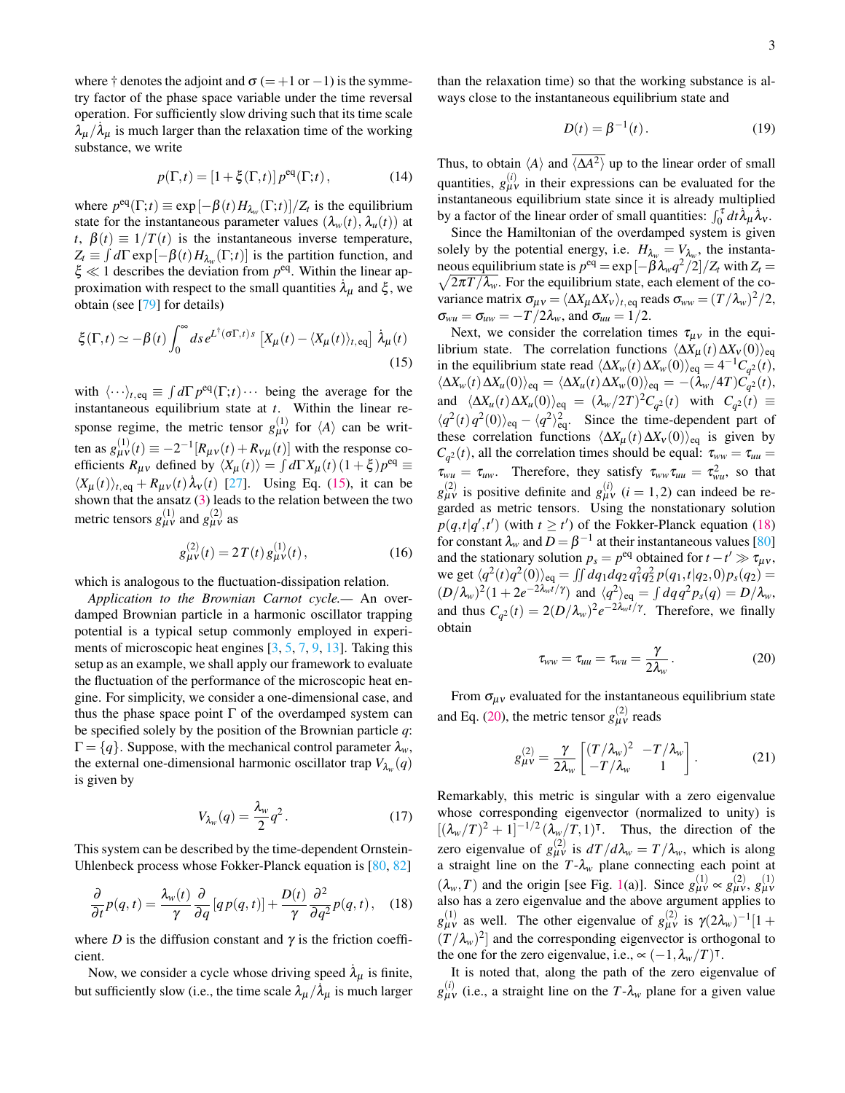where † denotes the adjoint and  $\sigma$  (= +1 or −1) is the symmetry factor of the phase space variable under the time reversal operation. For sufficiently slow driving such that its time scale  $\lambda_{\mu}/\lambda_{\mu}$  is much larger than the relaxation time of the working substance, we write

$$
p(\Gamma, t) = \left[1 + \xi(\Gamma, t)\right] p^{\text{eq}}(\Gamma; t),\tag{14}
$$

where  $p^{\text{eq}}(\Gamma;t) \equiv \exp[-\beta(t)H_{\lambda_w}(\Gamma;t)]/Z_t$  is the equilibrium state for the instantaneous parameter values  $(\lambda_w(t), \lambda_u(t))$  at *t*,  $\beta(t) \equiv 1/T(t)$  is the instantaneous inverse temperature,  $Z_t \equiv \int d\Gamma \exp[-\beta(t) H_{\lambda_w}(\Gamma; t)]$  is the partition function, and  $\xi \ll 1$  describes the deviation from  $p^{\text{eq}}$ . Within the linear approximation with respect to the small quantities  $\lambda_{\mu}$  and  $\xi$ , we obtain (see [\[79\]](#page-6-8) for details)

$$
\xi(\Gamma,t) \simeq -\beta(t) \int_0^\infty ds \, e^{L^\dagger(\sigma\Gamma,t)s} \left[ X_\mu(t) - \langle X_\mu(t) \rangle_{t,\text{eq}} \right] \, \dot{\lambda}_\mu(t)
$$
\n(15)

with  $\langle \cdots \rangle_{t, \text{eq}} \equiv \int d\Gamma \, p^{\text{eq}}(\Gamma; t) \cdots$  being the average for the instantaneous equilibrium state at *t*. Within the linear response regime, the metric tensor  $g_{\mu\nu}^{(1)}$  for  $\langle A \rangle$  can be written as  $g_{\mu\nu}^{(1)}(t) \equiv -2^{-1} [R_{\mu\nu}(t) + R_{\nu\mu}(t)]$  with the response coefficients  $R_{\mu\nu}$  defined by  $\langle X_{\mu}(t) \rangle = \int d\Gamma X_{\mu}(t) (1 + \xi) p^{eq} \equiv$  $\langle X_\mu(t) \rangle_{t, \text{eq}} + R_{\mu\nu}(t) \lambda_\nu(t)$  [\[27\]](#page-5-11). Using Eq. [\(15\)](#page-2-0), it can be shown that the ansatz [\(3\)](#page-1-0) leads to the relation between the two metric tensors  $g_{\mu\nu}^{(1)}$  and  $g_{\mu\nu}^{(2)}$  as

$$
g_{\mu\nu}^{(2)}(t) = 2T(t)g_{\mu\nu}^{(1)}(t), \qquad (16)
$$

which is analogous to the fluctuation-dissipation relation.

*Application to the Brownian Carnot cycle.—* An overdamped Brownian particle in a harmonic oscillator trapping potential is a typical setup commonly employed in experiments of microscopic heat engines [\[3,](#page-4-4) [5,](#page-4-3) [7,](#page-4-5) [9,](#page-4-1) [13\]](#page-4-6). Taking this setup as an example, we shall apply our framework to evaluate the fluctuation of the performance of the microscopic heat engine. For simplicity, we consider a one-dimensional case, and thus the phase space point  $\Gamma$  of the overdamped system can be specified solely by the position of the Brownian particle *q*:  $\Gamma = \{q\}$ . Suppose, with the mechanical control parameter  $\lambda_w$ , the external one-dimensional harmonic oscillator trap  $V_{\lambda_w}(q)$ is given by

$$
V_{\lambda_w}(q) = \frac{\lambda_w}{2} q^2.
$$
 (17)

This system can be described by the time-dependent Ornstein-Uhlenbeck process whose Fokker-Planck equation is [\[80,](#page-6-9) [82\]](#page-6-10)

$$
\frac{\partial}{\partial t}p(q,t) = \frac{\lambda_w(t)}{\gamma} \frac{\partial}{\partial q} \left[ q p(q,t) \right] + \frac{D(t)}{\gamma} \frac{\partial^2}{\partial q^2} p(q,t), \quad (18)
$$

where *D* is the diffusion constant and  $\gamma$  is the friction coefficient.

Now, we consider a cycle whose driving speed  $\lambda_{\mu}$  is finite, but sufficiently slow (i.e., the time scale  $\lambda_{\mu}/\lambda_{\mu}$  is much larger than the relaxation time) so that the working substance is always close to the instantaneous equilibrium state and

<span id="page-2-6"></span>
$$
D(t) = \beta^{-1}(t). \tag{19}
$$

Thus, to obtain  $\langle A \rangle$  and  $\overline{\langle \Delta A^2 \rangle}$  up to the linear order of small quantities,  $g_{\mu\nu}^{(i)}$  in their expressions can be evaluated for the instantaneous equilibrium state since it is already multiplied by a factor of the linear order of small quantities:  $\int_0^{\tau} dt \lambda_{\mu} \lambda_{\nu}$ .

Since the Hamiltonian of the overdamped system is given solely by the potential energy, i.e.  $H_{\lambda_w} = V_{\lambda_w}$ , the instantaneous equilibrium state is  $p^{eq} = \exp[-\beta \lambda_w q^2/2]/Z_t$  with  $Z_t =$  $\sqrt{2\pi T/\lambda_w}$ . For the equilibrium state, each element of the covariance matrix  $\sigma_{\mu\nu} = \langle \Delta X_{\mu} \Delta X_{\nu} \rangle_{t, \text{ eq}}$  reads  $\sigma_{ww} = (T/\lambda_w)^2/2$ ,  $\sigma_{wu} = \sigma_{uw} = -T/2\lambda_w$ , and  $\sigma_{uu} = 1/2$ .

<span id="page-2-0"></span>Next, we consider the correlation times  $\tau_{\mu\nu}$  in the equilibrium state. The correlation functions  $\langle \Delta X_{\mu}(t) \Delta X_{\nu}(0) \rangle_{\text{eq}}$ in the equilibrium state read  $\langle \Delta X_w(t) \Delta X_w(0) \rangle_{\text{eq}} = 4^{-1} C_{q^2}(t)$ ,  $\langle \Delta X_w(t) \, \Delta X_u(0) \rangle_{\text{eq}} = \langle \Delta X_u(t) \, \Delta X_w(0) \rangle_{\text{eq}} = -(\lambda_w/4T) C_{q^2}^{\dagger}(t),$ and  $\langle \Delta X_u(t) \Delta X_u(0) \rangle_{\text{eq}} = (\lambda_w/2T)^2 C_{q^2}(t)$  with  $C_{q^2}(t) \equiv$  $\langle q^2(t) q^2(0) \rangle_{\text{eq}} - \langle q^2 \rangle_{\text{eq}}^2$ . Since the time-dependent part of these correlation functions  $\langle \Delta X_{\mu}(t) \Delta X_{\nu}(0) \rangle_{\text{eq}}$  is given by  $C_{q^2}(t)$ , all the correlation times should be equal:  $\tau_{ww} = \tau_{uu}$  $\tau_{wu} = \tau_{uw}$ . Therefore, they satisfy  $\tau_{ww}\tau_{uu} = \tau_{wu}^2$ , so that  $g_{\mu\nu}^{(2)}$  is positive definite and  $g_{\mu\nu}^{(i)}$  (*i* = 1,2) can indeed be regarded as metric tensors. Using the nonstationary solution  $p(q,t|q',t')$  (with  $t \geq t'$ ) of the Fokker-Planck equation [\(18\)](#page-2-1) for constant  $\lambda_w$  and  $D = \beta^{-1}$  at their instantaneous values [\[80\]](#page-6-9) and the stationary solution  $p_s = p^{eq}$  obtained for  $t - t' \gg \tau_{\mu\nu}$ , we get  $\langle q^2(t)q^2(0)\rangle_{\text{eq}} = \iint dq_1 dq_2 q_1^2 q_2^2 p(q_1, t|q_2, 0) p_s(q_2) =$  $(D/\lambda_w)^2(1+2e^{-2\lambda_w t/\gamma})$  and  $\langle q^2 \rangle_{\text{eq}} = \int dq q^2 p_s(q) = D/\lambda_w$ , and thus  $C_{q^2}(t) = 2(D/\lambda_w)^2 e^{-2\lambda_w t/\gamma}$ . Therefore, we finally obtain

<span id="page-2-2"></span>
$$
\tau_{ww} = \tau_{uu} = \tau_{wu} = \frac{\gamma}{2\lambda_w}.
$$
\n(20)

<span id="page-2-4"></span>From  $\sigma_{\mu\nu}$  evaluated for the instantaneous equilibrium state and Eq. [\(20\)](#page-2-2), the metric tensor  $g_{\mu\nu}^{(2)}$  reads

<span id="page-2-3"></span>
$$
g_{\mu\nu}^{(2)} = \frac{\gamma}{2\lambda_w} \begin{bmatrix} (T/\lambda_w)^2 & -T/\lambda_w \\ -T/\lambda_w & 1 \end{bmatrix} . \tag{21}
$$

<span id="page-2-5"></span>Remarkably, this metric is singular with a zero eigenvalue whose corresponding eigenvector (normalized to unity) is  $[(\lambda_w/T)^2 + 1]^{-1/2} (\lambda_w/T, 1)^T$ . Thus, the direction of the zero eigenvalue of  $g_{\mu\nu}^{(2)}$  is  $dT/d\lambda_w = T/\lambda_w$ , which is along a straight line on the  $T-\lambda_w$  plane connecting each point at  $(\lambda_w, T)$  and the origin [see Fig. [1\(](#page-3-0)a)]. Since  $g_{\mu\nu}^{(1)} \propto g_{\mu\nu}^{(2)}$ ,  $g_{\mu\nu}^{(1)}$ also has a zero eigenvalue and the above argument applies to  $g_{\mu\nu}^{(1)}$  as well. The other eigenvalue of  $g_{\mu\nu}^{(2)}$  is  $\gamma(2\lambda_w)^{-1}[1 +$  $(T/\lambda_w)^2$  and the corresponding eigenvector is orthogonal to the one for the zero eigenvalue, i.e.,  $\propto (-1, \lambda_w/T)^{\intercal}$ .

<span id="page-2-1"></span>It is noted that, along the path of the zero eigenvalue of  $g_{\mu\nu}^{(i)}$  (i.e., a straight line on the *T*- $\lambda_w$  plane for a given value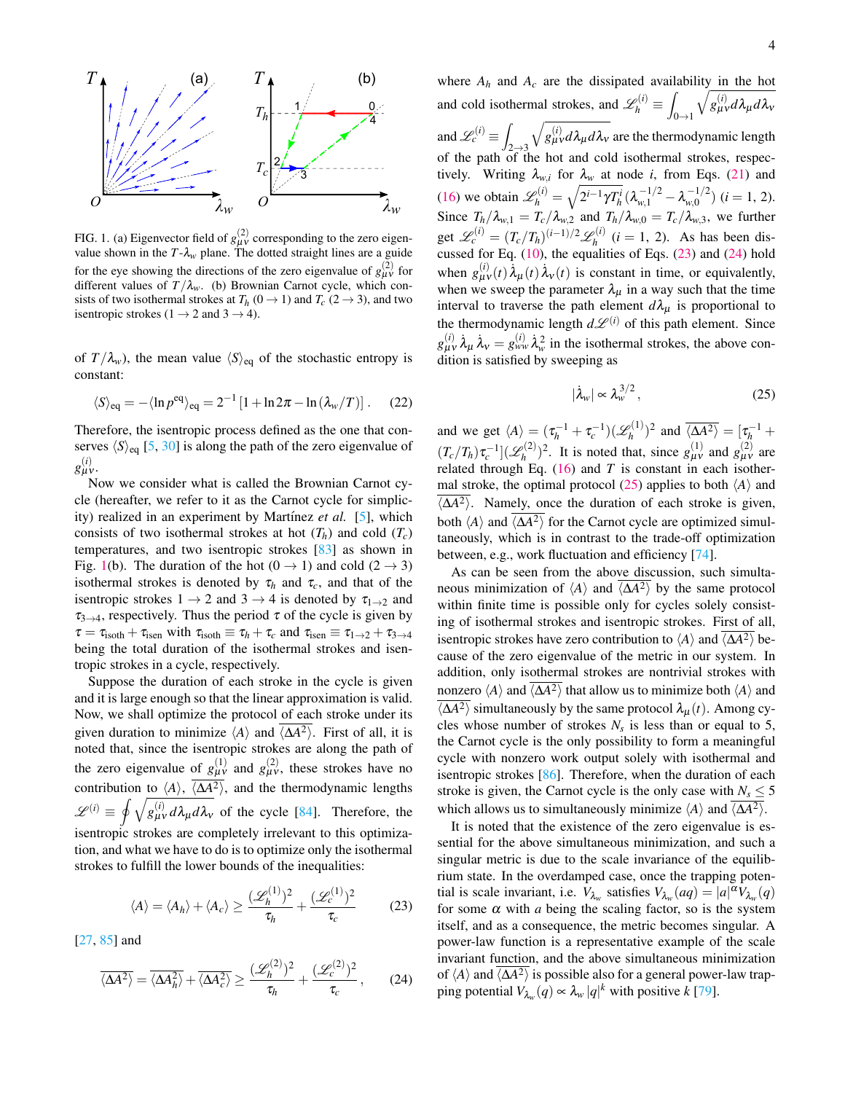

<span id="page-3-0"></span>FIG. 1. (a) Eigenvector field of  $g_{\mu\nu}^{(2)}$  corresponding to the zero eigenvalue shown in the  $T - \lambda_w$  plane. The dotted straight lines are a guide for the eye showing the directions of the zero eigenvalue of  $g_{\mu\nu}^{(2)}$  for different values of  $T/\lambda_w$ . (b) Brownian Carnot cycle, which consists of two isothermal strokes at  $T_h$  (0  $\rightarrow$  1) and  $T_c$  (2  $\rightarrow$  3), and two isentropic strokes ( $1 \rightarrow 2$  and  $3 \rightarrow 4$ ).

of  $T/\lambda_w$ , the mean value  $\langle S \rangle_{\text{eq}}$  of the stochastic entropy is constant:

$$
\langle S \rangle_{\text{eq}} = -\langle \ln p^{\text{eq}} \rangle_{\text{eq}} = 2^{-1} \left[ 1 + \ln 2\pi - \ln \left( \lambda_w / T \right) \right]. \tag{22}
$$

Therefore, the isentropic process defined as the one that conserves  $\langle S \rangle_{\text{eq}}$  [\[5,](#page-4-3) [30\]](#page-5-12) is along the path of the zero eigenvalue of *g* (*i*) µν .

Now we consider what is called the Brownian Carnot cycle (hereafter, we refer to it as the Carnot cycle for simplicity) realized in an experiment by Martínez *et al.* [\[5\]](#page-4-3), which consists of two isothermal strokes at hot  $(T_h)$  and cold  $(T_c)$ temperatures, and two isentropic strokes [\[83\]](#page-6-11) as shown in Fig. [1\(](#page-3-0)b). The duration of the hot  $(0 \rightarrow 1)$  and cold  $(2 \rightarrow 3)$ isothermal strokes is denoted by  $\tau_h$  and  $\tau_c$ , and that of the isentropic strokes  $1 \rightarrow 2$  and  $3 \rightarrow 4$  is denoted by  $\tau_{1\rightarrow 2}$  and  $\tau_{3\rightarrow 4}$ , respectively. Thus the period  $\tau$  of the cycle is given by  $\tau = \tau_{\text{isoth}} + \tau_{\text{isen}}$  with  $\tau_{\text{isoth}} \equiv \tau_h + \tau_c$  and  $\tau_{\text{isen}} \equiv \tau_{1\to 2} + \tau_{3\to 4}$ being the total duration of the isothermal strokes and isentropic strokes in a cycle, respectively.

Suppose the duration of each stroke in the cycle is given and it is large enough so that the linear approximation is valid. Now, we shall optimize the protocol of each stroke under its given duration to minimize  $\langle A \rangle$  and  $\langle \Delta A^2 \rangle$ . First of all, it is noted that, since the isentropic strokes are along the path of the zero eigenvalue of  $g_{\mu\nu}^{(1)}$  and  $g_{\mu\nu}^{(2)}$ , these strokes have no contribution to  $\langle A \rangle$ ,  $\langle \overline{\Delta A^2 \rangle}$ , and the thermodynamic lengths  $\mathscr{L}^{(i)} \equiv \oint \sqrt{g_{\mu\nu}^{(i)} d\lambda_{\mu} d\lambda_{\nu}}$  of the cycle [\[84\]](#page-6-12). Therefore, the isentropic strokes are completely irrelevant to this optimization, and what we have to do is to optimize only the isothermal strokes to fulfill the lower bounds of the inequalities:

$$
\langle A \rangle = \langle A_h \rangle + \langle A_c \rangle \ge \frac{(\mathcal{L}_h^{(1)})^2}{\tau_h} + \frac{(\mathcal{L}_c^{(1)})^2}{\tau_c} \tag{23}
$$

[\[27,](#page-5-11) [85\]](#page-6-13) and

$$
\overline{\langle \Delta A^2 \rangle} = \overline{\langle \Delta A_h^2 \rangle} + \overline{\langle \Delta A_c^2 \rangle} \ge \frac{(\mathcal{L}_h^{(2)})^2}{\tau_h} + \frac{(\mathcal{L}_c^{(2)})^2}{\tau_c},\qquad(24)
$$

where  $A_h$  and  $A_c$  are the dissipated availability in the hot and cold isothermal strokes, and  $\mathscr{L}_h^{(i)} \equiv \int$  $0\rightarrow 1$  $\sqrt{g^{(i)}_{\mu\nu} d\lambda_{\mu} d\lambda_{\nu}}$ and  $\mathscr{L}_c^{(i)} \equiv \int$  $2 \rightarrow 3$  $\sqrt{g_{\mu\nu}^{(i)}d\lambda_{\mu}d\lambda_{\nu}}$  are the thermodynamic length of the path of the hot and cold isothermal strokes, respectively. Writing  $\lambda_{w,i}$  for  $\lambda_w$  at node *i*, from Eqs. [\(21\)](#page-2-3) and [\(16\)](#page-2-4) we obtain  $\mathscr{L}_h^{(i)} = \sqrt{2^{i-1}\gamma T_h^i} (\lambda_{w,1}^{-1/2} - \lambda_{w,0}^{-1/2})$  $v_{w,0}^{-(1/2)}$  (*i* = 1, 2). Since  $T_h/\lambda_{w,1} = T_c/\lambda_{w,2}$  and  $T_h/\lambda_{w,0} = T_c/\lambda_{w,3}$ , we further get  $\mathscr{L}_c^{(i)} = (T_c/T_h)^{(i-1)/2} \mathscr{L}_h^{(i)}$  $h^{(i)}$  (*i* = 1, 2). As has been discussed for Eq.  $(10)$ , the equalities of Eqs.  $(23)$  and  $(24)$  hold when  $g_{\mu\nu}^{(i)}(t) \lambda_{\mu}(t) \lambda_{\nu}(t)$  is constant in time, or equivalently, when we sweep the parameter  $\lambda_{\mu}$  in a way such that the time interval to traverse the path element  $d\lambda_{\mu}$  is proportional to the thermodynamic length  $d\mathcal{L}^{(i)}$  of this path element. Since  $g_{\mu\nu}^{(i)}$   $\dot{\lambda}_{\mu} \dot{\lambda}_{\nu} = g_{\nu\nu}^{(i)}$   $\dot{\lambda}_{\nu}^2$  in the isothermal strokes, the above condition is satisfied by sweeping as

<span id="page-3-3"></span>
$$
\dot{\lambda}_w \vert \propto \lambda_w^{3/2} \,, \tag{25}
$$

and we get  $\langle A \rangle = (\tau_h^{-1} + \tau_c^{-1})(\mathscr{L}_h^{(1)})$  $\binom{p(1)}{h}^2$  and  $\overline{\langle \Delta A^2 \rangle} = [\tau_h^{-1} +$  $(T_c/T_h)\tau_c^{-1}](\mathscr{L}_h^{(2)}$  $(g_{\mu\nu}^{(2)})^2$ . It is noted that, since  $g_{\mu\nu}^{(1)}$  and  $g_{\mu\nu}^{(2)}$  are related through Eq.  $(16)$  and *T* is constant in each isother-mal stroke, the optimal protocol [\(25\)](#page-3-3) applies to both  $\langle A \rangle$  and  $\langle \Delta A^2 \rangle$ . Namely, once the duration of each stroke is given, both  $\langle A \rangle$  and  $\langle \Delta A^2 \rangle$  for the Carnot cycle are optimized simultaneously, which is in contrast to the trade-off optimization between, e.g., work fluctuation and efficiency [\[74\]](#page-6-5).

As can be seen from the above discussion, such simultaneous minimization of  $\langle A \rangle$  and  $\langle \Delta A^2 \rangle$  by the same protocol within finite time is possible only for cycles solely consisting of isothermal strokes and isentropic strokes. First of all, isentropic strokes have zero contribution to  $\langle A \rangle$  and  $\langle \Delta A^2 \rangle$  because of the zero eigenvalue of the metric in our system. In addition, only isothermal strokes are nontrivial strokes with nonzero  $\langle A \rangle$  and  $\langle \overline{\langle A^2 \rangle}$  that allow us to minimize both  $\langle A \rangle$  and  $\langle \Delta A^2 \rangle$  simultaneously by the same protocol  $\lambda_{\mu}(t)$ . Among cycles whose number of strokes  $N_s$  is less than or equal to 5, the Carnot cycle is the only possibility to form a meaningful cycle with nonzero work output solely with isothermal and isentropic strokes [\[86\]](#page-6-14). Therefore, when the duration of each stroke is given, the Carnot cycle is the only case with  $N_s \leq 5$ which allows us to simultaneously minimize  $\langle A \rangle$  and  $\langle \Delta A^2 \rangle$ .

<span id="page-3-2"></span><span id="page-3-1"></span>It is noted that the existence of the zero eigenvalue is essential for the above simultaneous minimization, and such a singular metric is due to the scale invariance of the equilibrium state. In the overdamped case, once the trapping potential is scale invariant, i.e.  $V_{\lambda_w}$  satisfies  $V_{\lambda_w}(aq) = |a|^{\alpha}V_{\lambda_w}(q)$ for some  $\alpha$  with  $a$  being the scaling factor, so is the system itself, and as a consequence, the metric becomes singular. A power-law function is a representative example of the scale invariant function, and the above simultaneous minimization of  $\langle A \rangle$  and  $\langle \overline{\Delta A^2} \rangle$  is possible also for a general power-law trapping potential  $V_{\lambda_w}(q) \propto \lambda_w |q|^k$  with positive  $k$  [\[79\]](#page-6-8).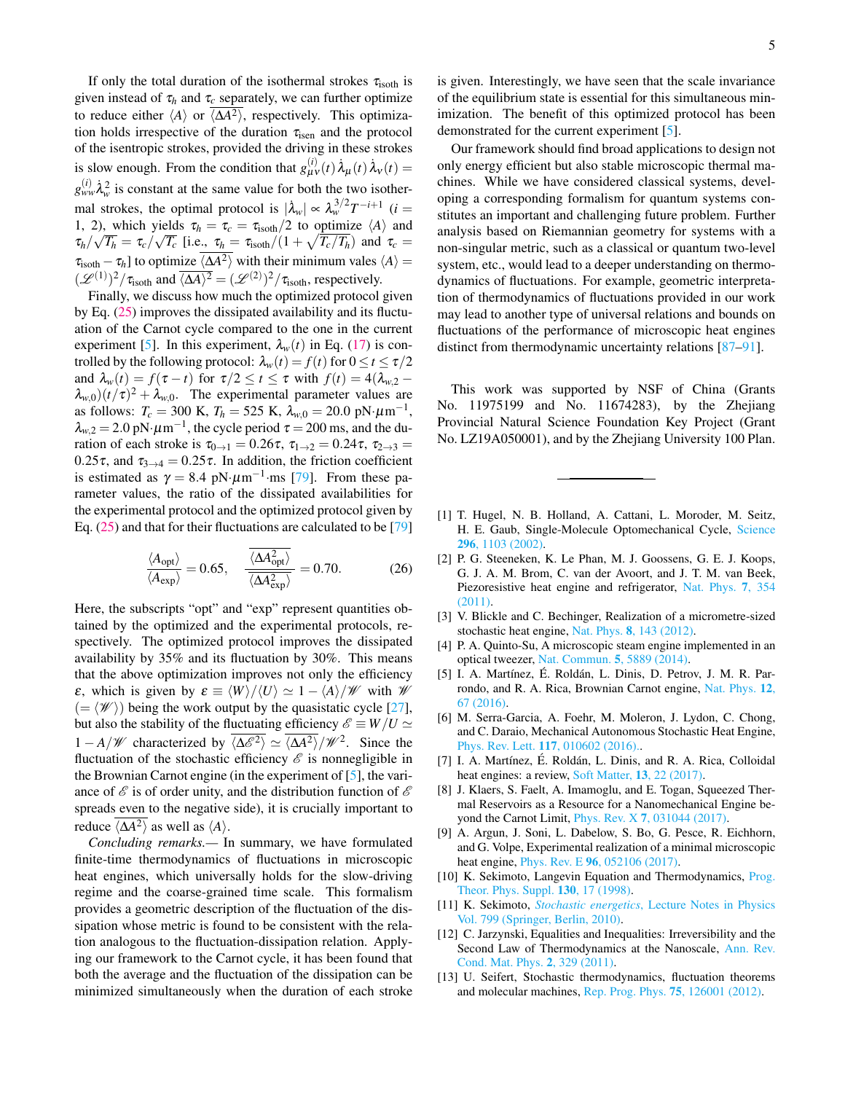If only the total duration of the isothermal strokes  $\tau_{\text{isoth}}$  is given instead of  $\tau_h$  and  $\tau_c$  separately, we can further optimize to reduce either  $\langle A \rangle$  or  $\langle \Delta A^2 \rangle$ , respectively. This optimization holds irrespective of the duration  $\tau_{\rm isen}$  and the protocol of the isentropic strokes, provided the driving in these strokes is slow enough. From the condition that  $g_{\mu\nu}^{(i)}(t) \dot{\lambda}_{\mu}(t) \dot{\lambda}_{\nu}(t) =$  $g_{ww}^{(i)} \lambda_w^2$  is constant at the same value for both the two isothermal strokes, the optimal protocol is  $|\lambda_w| \propto \lambda_w^{3/2} T^{-i+1}$  (*i* = 1, 2), which yields  $\tau_h = \tau_c = \tau_{isoth}/2$  to optimize  $\langle A \rangle$  and  $\tau_h/\sqrt{T_h} = \tau_c/\sqrt{T_c}$  [i.e.,  $\tau_h = \tau_{\rm isoth}/(1 + \sqrt{T_c/T_h})$  and  $\tau_c =$  $\tau_{\text{isoth}} - \tau_h$ ] to optimize  $\langle \overline{\Delta A^2} \rangle$  with their minimum vales  $\langle A \rangle =$  $(\mathscr{L}^{(1)})^2/\tau_{\text{isoth}}$  and  $\overline{\langle \Delta A \rangle^2} = (\mathscr{L}^{(2)})^2/\tau_{\text{isoth}}$ , respectively.

Finally, we discuss how much the optimized protocol given by Eq. [\(25\)](#page-3-3) improves the dissipated availability and its fluctuation of the Carnot cycle compared to the one in the current experiment [\[5\]](#page-4-3). In this experiment,  $\lambda_w(t)$  in Eq. [\(17\)](#page-2-5) is controlled by the following protocol:  $\lambda_w(t) = f(t)$  for  $0 \le t \le \tau/2$ and  $\lambda_w(t) = f(\tau - t)$  for  $\tau/2 \le t \le \tau$  with  $f(t) = 4(\lambda_{w,2} (\lambda_{w,0})(t/\tau)^2 + \lambda_{w,0}$ . The experimental parameter values are as follows:  $T_c = 300 \text{ K}$ ,  $T_h = 525 \text{ K}$ ,  $\lambda_{w,0} = 20.0 \text{ pN·}\mu\text{m}^{-1}$ ,  $\lambda_{w,2} = 2.0 \text{ pN·}\mu\text{m}^{-1}$ , the cycle period  $\tau = 200 \text{ ms}$ , and the duration of each stroke is  $\tau_{0\to 1} = 0.26\tau$ ,  $\tau_{1\to 2} = 0.24\tau$ ,  $\tau_{2\to 3} =$ 0.25 $\tau$ , and  $\tau_{3\to 4} = 0.25\tau$ . In addition, the friction coefficient is estimated as  $\gamma = 8.4 \text{ pN} \cdot \mu \text{m}^{-1} \cdot \text{ms}$  [\[79\]](#page-6-8). From these parameter values, the ratio of the dissipated availabilities for the experimental protocol and the optimized protocol given by Eq. [\(25\)](#page-3-3) and that for their fluctuations are calculated to be [\[79\]](#page-6-8)

$$
\frac{\langle A_{\rm opt} \rangle}{\langle A_{\rm exp} \rangle} = 0.65, \quad \frac{\langle \Delta A_{\rm opt}^2 \rangle}{\langle \Delta A_{\rm exp}^2 \rangle} = 0.70. \tag{26}
$$

Here, the subscripts "opt" and "exp" represent quantities obtained by the optimized and the experimental protocols, respectively. The optimized protocol improves the dissipated availability by 35% and its fluctuation by 30%. This means that the above optimization improves not only the efficiency  $\varepsilon$ , which is given by  $\varepsilon \equiv \langle W \rangle / \langle U \rangle \simeq 1 - \langle A \rangle / \mathcal{W}$  with W  $(=\langle \mathscr{W} \rangle)$  being the work output by the quasistatic cycle [\[27\]](#page-5-11), but also the stability of the fluctuating efficiency  $\mathscr{E} \equiv W/U \simeq$ 1 – *A*/*W* characterized by  $\langle \overline{\Delta \mathcal{E}^2} \rangle \simeq \langle \overline{\Delta A^2} \rangle / \mathcal{W}^2$ . Since the fluctuation of the stochastic efficiency  $\mathscr E$  is nonnegligible in the Brownian Carnot engine (in the experiment of [\[5\]](#page-4-3), the variance of  $\mathscr E$  is of order unity, and the distribution function of  $\mathscr E$ spreads even to the negative side), it is crucially important to reduce  $\langle \Delta A^2 \rangle$  as well as  $\langle A \rangle$ .

*Concluding remarks.—* In summary, we have formulated finite-time thermodynamics of fluctuations in microscopic heat engines, which universally holds for the slow-driving regime and the coarse-grained time scale. This formalism provides a geometric description of the fluctuation of the dissipation whose metric is found to be consistent with the relation analogous to the fluctuation-dissipation relation. Applying our framework to the Carnot cycle, it has been found that both the average and the fluctuation of the dissipation can be minimized simultaneously when the duration of each stroke is given. Interestingly, we have seen that the scale invariance of the equilibrium state is essential for this simultaneous minimization. The benefit of this optimized protocol has been demonstrated for the current experiment [\[5\]](#page-4-3).

Our framework should find broad applications to design not only energy efficient but also stable microscopic thermal machines. While we have considered classical systems, developing a corresponding formalism for quantum systems constitutes an important and challenging future problem. Further analysis based on Riemannian geometry for systems with a non-singular metric, such as a classical or quantum two-level system, etc., would lead to a deeper understanding on thermodynamics of fluctuations. For example, geometric interpretation of thermodynamics of fluctuations provided in our work may lead to another type of universal relations and bounds on fluctuations of the performance of microscopic heat engines distinct from thermodynamic uncertainty relations [\[87](#page-6-15)[–91\]](#page-6-16).

This work was supported by NSF of China (Grants No. 11975199 and No. 11674283), by the Zhejiang Provincial Natural Science Foundation Key Project (Grant No. LZ19A050001), and by the Zhejiang University 100 Plan.

- <span id="page-4-0"></span>[1] T. Hugel, N. B. Holland, A. Cattani, L. Moroder, M. Seitz, H. E. Gaub, Single-Molecule Optomechanical Cycle, [Science](https://doi.org/10.1126/science.1069856) 296[, 1103 \(2002\).](https://doi.org/10.1126/science.1069856)
- [2] P. G. Steeneken, K. Le Phan, M. J. Goossens, G. E. J. Koops, G. J. A. M. Brom, C. van der Avoort, and J. T. M. van Beek, Piezoresistive heat engine and refrigerator, [Nat. Phys.](https://doi.org/10.1038/nphys1871) 7, 354 [\(2011\).](https://doi.org/10.1038/nphys1871)
- <span id="page-4-4"></span>[3] V. Blickle and C. Bechinger, Realization of a micrometre-sized stochastic heat engine, Nat. Phys. 8[, 143 \(2012\).](https://doi.org/10.1038/nphys2163)
- [4] P. A. Quinto-Su, A microscopic steam engine implemented in an optical tweezer, [Nat. Commun.](https://doi.org/10.1038/ncomms6889) 5, 5889 (2014).
- <span id="page-4-3"></span>[5] I. A. Martínez, É. Roldán, L. Dinis, D. Petrov, J. M. R. Parrondo, and R. A. Rica, Brownian Carnot engine, [Nat. Phys.](https://doi.org/10.1038/nphys3518) 12, [67 \(2016\).](https://doi.org/10.1038/nphys3518)
- [6] M. Serra-Garcia, A. Foehr, M. Moleron, J. Lydon, C. Chong, and C. Daraio, Mechanical Autonomous Stochastic Heat Engine, Phys. Rev. Lett. 117[, 010602 \(2016\)..](https://doi.org/10.1103/PhysRevLett.117.010602)
- <span id="page-4-5"></span>[7] I. A. Martínez, É. Roldán, L. Dinis, and R. A. Rica, Colloidal heat engines: a review, [Soft Matter,](https://doi.org/10.1039/C6SM00923A) 13, 22 (2017).
- [8] J. Klaers, S. Faelt, A. Imamoglu, and E. Togan, Squeezed Thermal Reservoirs as a Resource for a Nanomechanical Engine beyond the Carnot Limit, Phys. Rev. X 7[, 031044 \(2017\).](https://doi.org/10.1103/PhysRevX.7.031044)
- <span id="page-4-1"></span>[9] A. Argun, J. Soni, L. Dabelow, S. Bo, G. Pesce, R. Eichhorn, and G. Volpe, Experimental realization of a minimal microscopic heat engine, Phys. Rev. E 96[, 052106 \(2017\).](https://doi.org/10.1103/PhysRevE.96.052106)
- <span id="page-4-2"></span>[10] K. Sekimoto, Langevin Equation and Thermodynamics, [Prog.](https://doi.org/10.1143/PTPS.130.17) [Theor. Phys. Suppl.](https://doi.org/10.1143/PTPS.130.17) **130**, 17 (1998).
- [11] K. Sekimoto, *Stochastic energetics*[, Lecture Notes in Physics](https://doi.org/10.1007/978-3-642-05411-2) [Vol. 799 \(Springer, Berlin, 2010\).](https://doi.org/10.1007/978-3-642-05411-2)
- [12] C. Jarzynski, Equalities and Inequalities: Irreversibility and the Second Law of Thermodynamics at the Nanoscale, [Ann. Rev.](https://doi.org/10.1146/annurev-conmatphys-062910-140506) [Cond. Mat. Phys.](https://doi.org/10.1146/annurev-conmatphys-062910-140506) 2, 329 (2011).
- <span id="page-4-6"></span>[13] U. Seifert, Stochastic thermodynamics, fluctuation theorems and molecular machines, [Rep. Prog. Phys.](https://doi.org/10.1088/0034-4885/75/12/126001) 75, 126001 (2012).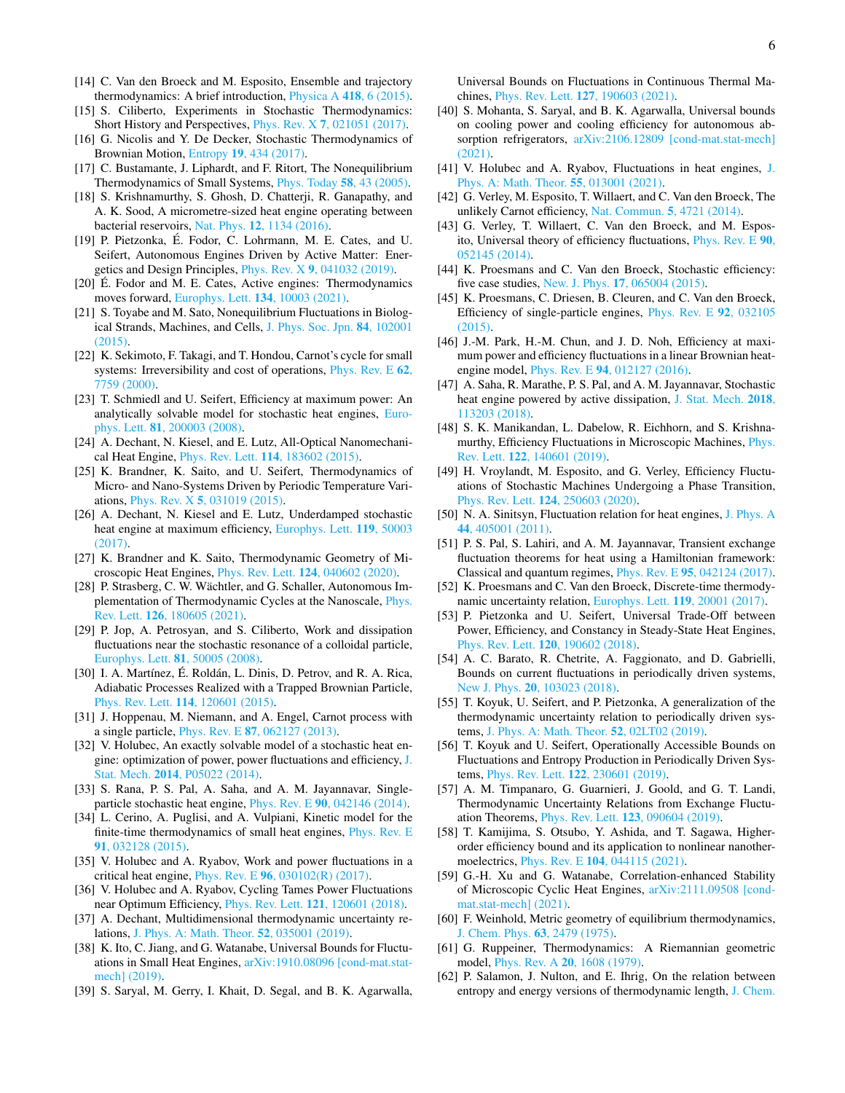- [14] C. Van den Broeck and M. Esposito, Ensemble and trajectory thermodynamics: A brief introduction, [Physica A](https://doi.org/10.1016/j.physa.2014.04.035) 418, 6 (2015).
- [15] S. Ciliberto, Experiments in Stochastic Thermodynamics: Short History and Perspectives, Phys. Rev. X 7[, 021051 \(2017\).](https://doi.org/10.1103/PhysRevX.7.021051)
- <span id="page-5-0"></span>[16] G. Nicolis and Y. De Decker, Stochastic Thermodynamics of Brownian Motion, Entropy 19[, 434 \(2017\).](https://doi.org/10.3390/e19090434)
- <span id="page-5-1"></span>[17] C. Bustamante, J. Liphardt, and F. Ritort, The Nonequilibrium Thermodynamics of Small Systems, [Phys. Today](https://doi.org/10.1063/1.2012462) 58, 43 (2005).
- <span id="page-5-2"></span>[18] S. Krishnamurthy, S. Ghosh, D. Chatterji, R. Ganapathy, and A. K. Sood, A micrometre-sized heat engine operating between bacterial reservoirs, Nat. Phys. 12[, 1134 \(2016\).](https://doi.org/10.1038/nphys3870)
- [19] P. Pietzonka, É. Fodor, C. Lohrmann, M. E. Cates, and U. Seifert, Autonomous Engines Driven by Active Matter: Energetics and Design Principles, Phys. Rev. X 9[, 041032 \(2019\).](https://doi.org/10.1103/PhysRevX.9.041032)
- <span id="page-5-3"></span>[20] É. Fodor and M. E. Cates, Active engines: Thermodynamics moves forward, [Europhys. Lett.](https://doi.org/10.1209/0295-5075/134/10003) 134, 10003 (2021).
- <span id="page-5-4"></span>[21] S. Toyabe and M. Sato, Nonequilibrium Fluctuations in Biological Strands, Machines, and Cells, [J. Phys. Soc. Jpn.](https://doi.org/10.7566/JPSJ.84.102001) 84, 102001 [\(2015\).](https://doi.org/10.7566/JPSJ.84.102001)
- <span id="page-5-5"></span>[22] K. Sekimoto, F. Takagi, and T. Hondou, Carnot's cycle for small systems: Irreversibility and cost of operations, [Phys. Rev. E](https://doi.org/10.1103/PhysRevE.62.7759) 62, [7759 \(2000\).](https://doi.org/10.1103/PhysRevE.62.7759)
- [23] T. Schmiedl and U. Seifert, Efficiency at maximum power: An analytically solvable model for stochastic heat engines, [Euro](https://doi.org/10.1209/0295-5075/81/20003)phys. Lett. 81[, 200003 \(2008\).](https://doi.org/10.1209/0295-5075/81/20003)
- [24] A. Dechant, N. Kiesel, and E. Lutz, All-Optical Nanomechanical Heat Engine, Phys. Rev. Lett. 114[, 183602 \(2015\).](https://doi.org/10.1103/PhysRevLett.114.183602)
- [25] K. Brandner, K. Saito, and U. Seifert, Thermodynamics of Micro- and Nano-Systems Driven by Periodic Temperature Variations, Phys. Rev. X 5[, 031019 \(2015\).](https://doi.org/10.1103/PhysRevX.5.031019)
- [26] A. Dechant, N. Kiesel and E. Lutz, Underdamped stochastic heat engine at maximum efficiency, [Europhys. Lett.](https://doi.org/10.1209/0295-5075/119/50003) 119, 50003  $(2017)$ .
- <span id="page-5-11"></span>[27] K. Brandner and K. Saito, Thermodynamic Geometry of Microscopic Heat Engines, Phys. Rev. Lett. 124[, 040602 \(2020\).](https://doi.org/10.1103/PhysRevLett.124.040602)
- <span id="page-5-6"></span>[28] P. Strasberg, C. W. Wächtler, and G. Schaller, Autonomous Implementation of Thermodynamic Cycles at the Nanoscale, [Phys.](https://doi.org/10.1103/PhysRevLett.126.180605) Rev. Lett. 126[, 180605 \(2021\).](https://doi.org/10.1103/PhysRevLett.126.180605)
- <span id="page-5-7"></span>[29] P. Jop, A. Petrosyan, and S. Ciliberto, Work and dissipation fluctuations near the stochastic resonance of a colloidal particle, [Europhys. Lett.](https://doi.org/10.1209/0295-5075/81/50005) 81, 50005 (2008).
- <span id="page-5-12"></span>[30] I. A. Martínez, É. Roldán, L. Dinis, D. Petrov, and R. A. Rica, Adiabatic Processes Realized with a Trapped Brownian Particle, Phys. Rev. Lett. 114[, 120601 \(2015\).](https://doi.org/10.1103/PhysRevLett.114.120601)
- [31] J. Hoppenau, M. Niemann, and A. Engel, Carnot process with a single particle, Phys. Rev. E 87[, 062127 \(2013\).](https://doi.org/10.1103/PhysRevE.87.062127)
- [32] V. Holubec, An exactly solvable model of a stochastic heat engine: optimization of power, power fluctuations and efficiency, [J.](https://doi.org/10.1088/1742-5468/2014/05/P05022) Stat. Mech. 2014[, P05022 \(2014\).](https://doi.org/10.1088/1742-5468/2014/05/P05022)
- [33] S. Rana, P. S. Pal, A. Saha, and A. M. Jayannavar, Singleparticle stochastic heat engine, Phys. Rev. E 90[, 042146 \(2014\).](https://doi.org/10.1103/PhysRevE.90.042146)
- [34] L. Cerino, A. Puglisi, and A. Vulpiani, Kinetic model for the finite-time thermodynamics of small heat engines, [Phys. Rev. E](https://doi.org/10.1103/PhysRevE.91.032128) 91[, 032128 \(2015\).](https://doi.org/10.1103/PhysRevE.91.032128)
- [35] V. Holubec and A. Ryabov, Work and power fluctuations in a critical heat engine, Phys. Rev. E 96[, 030102\(R\) \(2017\).](https://doi.org/10.1103/PhysRevE.96.030102)
- [36] V. Holubec and A. Ryabov, Cycling Tames Power Fluctuations near Optimum Efficiency, Phys. Rev. Lett. 121[, 120601 \(2018\).](https://doi.org/10.1103/PhysRevLett.121.120601)
- [37] A. Dechant, Multidimensional thermodynamic uncertainty relations, [J. Phys. A: Math. Theor.](https://doi.org/10.1088/1751-8121/aaf3ff) 52, 035001 (2019).
- <span id="page-5-9"></span>[38] K. Ito, C. Jiang, and G. Watanabe, Universal Bounds for Fluctuations in Small Heat Engines, [arXiv:1910.08096 \[cond-mat.stat](https://arxiv.org/abs/1910.08096)[mech\] \(2019\).](https://arxiv.org/abs/1910.08096)
- [39] S. Saryal, M. Gerry, I. Khait, D. Segal, and B. K. Agarwalla,

Universal Bounds on Fluctuations in Continuous Thermal Machines, Phys. Rev. Lett. 127[, 190603 \(2021\).](https://doi.org/10.1103/PhysRevLett.127.190603)

- [40] S. Mohanta, S. Saryal, and B. K. Agarwalla, Universal bounds on cooling power and cooling efficiency for autonomous absorption refrigerators, [arXiv:2106.12809 \[cond-mat.stat-mech\]](https://arxiv.org/abs/2106.12809) [\(2021\).](https://arxiv.org/abs/2106.12809)
- [41] V. Holubec and A. Ryabov, Fluctuations in heat engines, [J.](https://doi.org/10.1088/1751-8121/ac3aac) [Phys. A: Math. Theor.](https://doi.org/10.1088/1751-8121/ac3aac) 55, 013001 (2021).
- [42] G. Verley, M. Esposito, T. Willaert, and C. Van den Broeck, The unlikely Carnot efficiency, [Nat. Commun.](https://doi.org/10.1038/ncomms5721) 5, 4721 (2014).
- [43] G. Verley, T. Willaert, C. Van den Broeck, and M. Esposito, Universal theory of efficiency fluctuations, [Phys. Rev. E](https://doi.org/10.1103/PhysRevE.90.052145) 90, [052145 \(2014\).](https://doi.org/10.1103/PhysRevE.90.052145)
- [44] K. Proesmans and C. Van den Broeck, Stochastic efficiency: five case studies, New. J. Phys. 17[, 065004 \(2015\).](https://doi.org/10.1088/1367-2630/17/6/065004)
- [45] K. Proesmans, C. Driesen, B. Cleuren, and C. Van den Broeck, Efficiency of single-particle engines, [Phys. Rev. E](https://doi.org/10.1103/PhysRevE.92.032105) 92, 032105 [\(2015\).](https://doi.org/10.1103/PhysRevE.92.032105)
- [46] J.-M. Park, H.-M. Chun, and J. D. Noh, Efficiency at maximum power and efficiency fluctuations in a linear Brownian heatengine model, Phys. Rev. E 94[, 012127 \(2016\).](https://doi.org/10.1103/PhysRevE.94.012127)
- [47] A. Saha, R. Marathe, P. S. Pal, and A. M. Jayannavar, Stochastic heat engine powered by active dissipation, [J. Stat. Mech.](https://doi.org/10.1088/1742-5468/aae84a) 2018, [113203 \(2018\).](https://doi.org/10.1088/1742-5468/aae84a)
- [48] S. K. Manikandan, L. Dabelow, R. Eichhorn, and S. Krishnamurthy, Efficiency Fluctuations in Microscopic Machines, [Phys.](https://doi.org/10.1103/PhysRevLett.122.140601) Rev. Lett. 122[, 140601 \(2019\).](https://doi.org/10.1103/PhysRevLett.122.140601)
- [49] H. Vroylandt, M. Esposito, and G. Verley, Efficiency Fluctuations of Stochastic Machines Undergoing a Phase Transition, Phys. Rev. Lett. 124[, 250603 \(2020\).](https://doi.org/10.1103/PhysRevLett.124.250603)
- [50] N. A. Sinitsyn, Fluctuation relation for heat engines, [J. Phys. A](https://doi.org/10.1088/1751-8113/44/40/405001) 44[, 405001 \(2011\).](https://doi.org/10.1088/1751-8113/44/40/405001)
- [51] P. S. Pal, S. Lahiri, and A. M. Jayannavar, Transient exchange fluctuation theorems for heat using a Hamiltonian framework: Classical and quantum regimes, Phys. Rev. E 95[, 042124 \(2017\).](https://doi.org/10.1103/PhysRevE.95.042124)
- [52] K. Proesmans and C. Van den Broeck, Discrete-time thermodynamic uncertainty relation, [Europhys. Lett.](https://doi.org/10.1209/0295-5075/119/20001) 119, 20001 (2017).
- [53] P. Pietzonka and U. Seifert, Universal Trade-Off between Power, Efficiency, and Constancy in Steady-State Heat Engines, Phys. Rev. Lett. 120[, 190602 \(2018\).](https://doi.org/10.1103/PhysRevLett.120.190602)
- [54] A. C. Barato, R. Chetrite, A. Faggionato, and D. Gabrielli, Bounds on current fluctuations in periodically driven systems, New J. Phys. 20[, 103023 \(2018\).](https://doi.org/10.1088/1367-2630/aae512)
- [55] T. Koyuk, U. Seifert, and P. Pietzonka, A generalization of the thermodynamic uncertainty relation to periodically driven systems, [J. Phys. A: Math. Theor.](https://doi.org/10.1088/1751-8121/aaeec4) 52, 02LT02 (2019).
- [56] T. Koyuk and U. Seifert, Operationally Accessible Bounds on Fluctuations and Entropy Production in Periodically Driven Systems, Phys. Rev. Lett. 122[, 230601 \(2019\).](https://doi.org/10.1103/PhysRevLett.122.230601)
- [57] A. M. Timpanaro, G. Guarnieri, J. Goold, and G. T. Landi, Thermodynamic Uncertainty Relations from Exchange Fluctuation Theorems, Phys. Rev. Lett. 123[, 090604 \(2019\).](https://doi.org/10.1103/PhysRevLett.123.090604)
- [58] T. Kamijima, S. Otsubo, Y. Ashida, and T. Sagawa, Higherorder efficiency bound and its application to nonlinear nanothermoelectrics, Phys. Rev. E 104[, 044115 \(2021\).](https://doi.org/10.1103/PhysRevE.104.044115)
- <span id="page-5-8"></span>[59] G.-H. Xu and G. Watanabe, Correlation-enhanced Stability of Microscopic Cyclic Heat Engines, [arXiv:2111.09508 \[cond](https://arxiv.org/abs/2111.09508)[mat.stat-mech\] \(2021\).](https://arxiv.org/abs/2111.09508)
- <span id="page-5-10"></span>[60] F. Weinhold, Metric geometry of equilibrium thermodynamics, [J. Chem. Phys.](https://doi.org/10.1063/1.431689) 63, 2479 (1975).
- [61] G. Ruppeiner, Thermodynamics: A Riemannian geometric model, Phys. Rev. A 20[, 1608 \(1979\).](https://doi.org/10.1103/PhysRevA.20.1608)
- [62] P. Salamon, J. Nulton, and E. Ihrig, On the relation between entropy and energy versions of thermodynamic length, [J. Chem.](https://doi.org/10.1063/1.446467)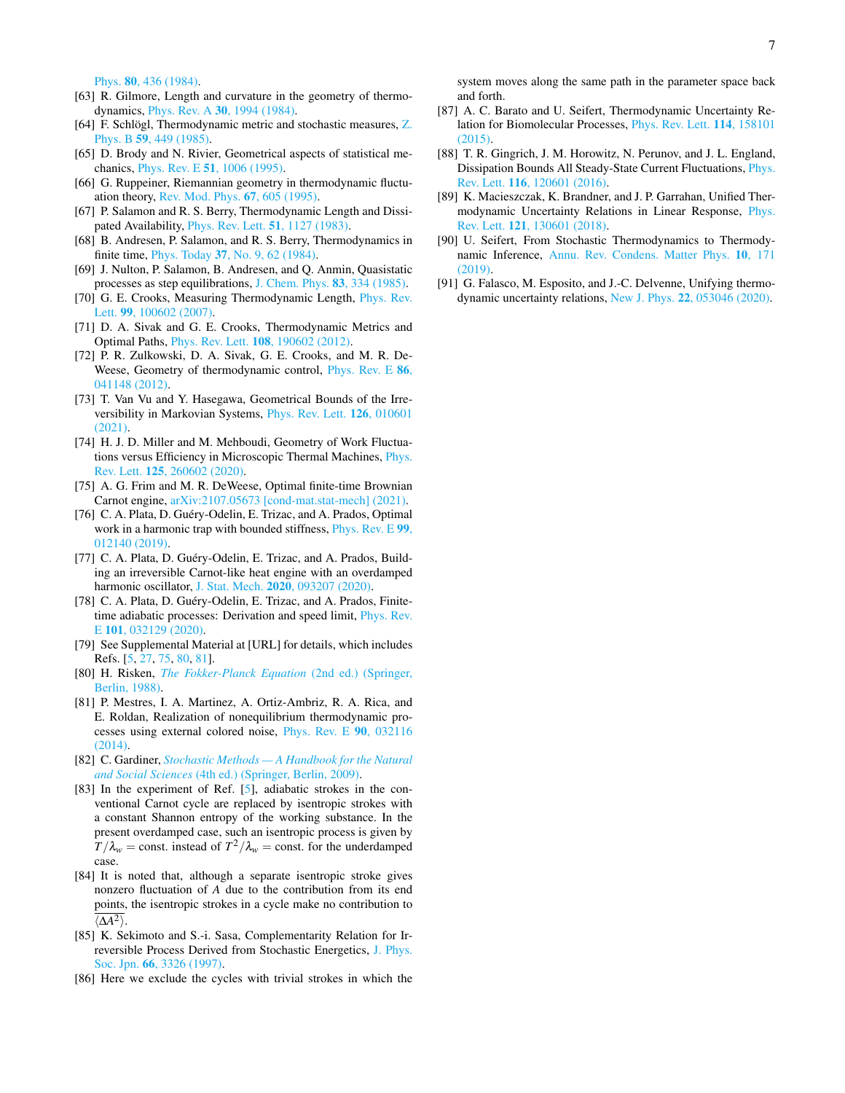Phys. 80[, 436 \(1984\).](https://doi.org/10.1063/1.446467)

- [63] R. Gilmore, Length and curvature in the geometry of thermodynamics, Phys. Rev. A 30[, 1994 \(1984\).](https://doi.org/10.1103/PhysRevA.30.1994)
- [64] F. Schlögl, Thermodynamic metric and stochastic measures, [Z.](https://doi.org/10.1007/BF01328857) Phys. B 59[, 449 \(1985\).](https://doi.org/10.1007/BF01328857)
- [65] D. Brody and N. Rivier, Geometrical aspects of statistical mechanics, Phys. Rev. E 51[, 1006 \(1995\).](https://doi.org/10.1103/PhysRevE.51.1006)
- <span id="page-6-0"></span>[66] G. Ruppeiner, Riemannian geometry in thermodynamic fluctuation theory, [Rev. Mod. Phys.](https://doi.org/10.1103/RevModPhys.67.605) 67, 605 (1995).
- <span id="page-6-1"></span>[67] P. Salamon and R. S. Berry, Thermodynamic Length and Dissipated Availability, [Phys. Rev. Lett.](https://doi.org/10.1103/PhysRevLett.51.1127) 51, 1127 (1983).
- [68] B. Andresen, P. Salamon, and R. S. Berry, Thermodynamics in finite time, Phys. Today 37[, No. 9, 62 \(1984\).](https://doi.org/10.1063/1.2916405)
- <span id="page-6-2"></span>[69] J. Nulton, P. Salamon, B. Andresen, and Q. Anmin, Quasistatic processes as step equilibrations, [J. Chem. Phys.](https://doi.org/10.1063/1.449774) 83, 334 (1985).
- <span id="page-6-3"></span>[70] G. E. Crooks, Measuring Thermodynamic Length, *[Phys. Rev.](https://doi.org/10.1103/PhysRevLett.99.100602)* Lett. **99**[, 100602 \(2007\).](https://doi.org/10.1103/PhysRevLett.99.100602)
- [71] D. A. Sivak and G. E. Crooks, Thermodynamic Metrics and Optimal Paths, Phys. Rev. Lett. 108[, 190602 \(2012\).](https://doi.org/10.1103/PhysRevLett.108.190602)
- [72] P. R. Zulkowski, D. A. Sivak, G. E. Crooks, and M. R. De-Weese, Geometry of thermodynamic control, [Phys. Rev. E](https://doi.org/10.1103/PhysRevE.86.041148) 86, [041148 \(2012\).](https://doi.org/10.1103/PhysRevE.86.041148)
- <span id="page-6-4"></span>[73] T. Van Vu and Y. Hasegawa, Geometrical Bounds of the Irreversibility in Markovian Systems, [Phys. Rev. Lett.](https://doi.org/10.1103/PhysRevLett.126.010601) 126, 010601 [\(2021\).](https://doi.org/10.1103/PhysRevLett.126.010601)
- <span id="page-6-5"></span>[74] H. J. D. Miller and M. Mehboudi, Geometry of Work Fluctuations versus Efficiency in Microscopic Thermal Machines, [Phys.](https://doi.org/10.1103/PhysRevLett.125.260602) Rev. Lett. 125[, 260602 \(2020\).](https://doi.org/10.1103/PhysRevLett.125.260602)
- <span id="page-6-6"></span>[75] A. G. Frim and M. R. DeWeese, Optimal finite-time Brownian Carnot engine, [arXiv:2107.05673 \[cond-mat.stat-mech\] \(2021\).](https://arxiv.org/abs/2107.05673)
- [76] C. A. Plata, D. Guéry-Odelin, E. Trizac, and A. Prados, Optimal work in a harmonic trap with bounded stiffness, [Phys. Rev. E](https://doi.org/10.1103/PhysRevE.99.012140) 99, [012140 \(2019\).](https://doi.org/10.1103/PhysRevE.99.012140)
- [77] C. A. Plata, D. Guéry-Odelin, E. Trizac, and A. Prados, Building an irreversible Carnot-like heat engine with an overdamped harmonic oscillator, J. Stat. Mech. 2020[, 093207 \(2020\).](https://doi.org/10.1088/1742-5468/abb0e1)
- <span id="page-6-7"></span>[78] C. A. Plata, D. Guéry-Odelin, E. Trizac, and A. Prados, Finitetime adiabatic processes: Derivation and speed limit, [Phys. Rev.](https://doi.org/10.1103/PhysRevE.101.032129) E 101[, 032129 \(2020\).](https://doi.org/10.1103/PhysRevE.101.032129)
- <span id="page-6-8"></span>[79] See Supplemental Material at [URL] for details, which includes Refs. [\[5,](#page-4-3) [27,](#page-5-11) [75,](#page-6-6) [80,](#page-6-9) [81\]](#page-6-17).
- <span id="page-6-9"></span>[80] H. Risken, *[The Fokker-Planck Equation](https://doi.org/10.1007/978-3-642-61544-3)* (2nd ed.) (Springer, [Berlin, 1988\).](https://doi.org/10.1007/978-3-642-61544-3)
- <span id="page-6-17"></span>[81] P. Mestres, I. A. Martinez, A. Ortiz-Ambriz, R. A. Rica, and E. Roldan, Realization of nonequilibrium thermodynamic processes using external colored noise, [Phys. Rev. E](https://doi.org/10.1103/PhysRevE.90.032116) 90, 032116 [\(2014\).](https://doi.org/10.1103/PhysRevE.90.032116)
- <span id="page-6-10"></span>[82] C. Gardiner, *[Stochastic Methods — A Handbook for the Natural](https://www.springer.com/gp/book/9783540707127) and Social Sciences* [\(4th ed.\) \(Springer, Berlin, 2009\).](https://www.springer.com/gp/book/9783540707127)
- <span id="page-6-11"></span>[83] In the experiment of Ref. [\[5\]](#page-4-3), adiabatic strokes in the conventional Carnot cycle are replaced by isentropic strokes with a constant Shannon entropy of the working substance. In the present overdamped case, such an isentropic process is given by  $T/\lambda_w = \text{const.}$  instead of  $T^2/\lambda_w = \text{const.}$  for the underdamped case.
- <span id="page-6-12"></span>[84] It is noted that, although a separate isentropic stroke gives nonzero fluctuation of *A* due to the contribution from its end points, the isentropic strokes in a cycle make no contribution to  $\langle \Delta A^2 \rangle$ .
- <span id="page-6-13"></span>[85] K. Sekimoto and S.-i. Sasa, Complementarity Relation for Irreversible Process Derived from Stochastic Energetics, [J. Phys.](https://doi.org/10.1143/JPSJ.66.3326) Soc. Jpn. 66[, 3326 \(1997\).](https://doi.org/10.1143/JPSJ.66.3326)
- <span id="page-6-14"></span>[86] Here we exclude the cycles with trivial strokes in which the

system moves along the same path in the parameter space back and forth.

- <span id="page-6-15"></span>[87] A. C. Barato and U. Seifert, Thermodynamic Uncertainty Relation for Biomolecular Processes, [Phys. Rev. Lett.](https://doi.org/10.1103/PhysRevLett.114.158101) 114, 158101 [\(2015\).](https://doi.org/10.1103/PhysRevLett.114.158101)
- [88] T. R. Gingrich, J. M. Horowitz, N. Perunov, and J. L. England, Dissipation Bounds All Steady-State Current Fluctuations, [Phys.](https://doi.org/10.1103/PhysRevLett.116.120601) Rev. Lett. 116[, 120601 \(2016\).](https://doi.org/10.1103/PhysRevLett.116.120601)
- [89] K. Macieszczak, K. Brandner, and J. P. Garrahan, Unified Thermodynamic Uncertainty Relations in Linear Response, [Phys.](https://doi.org/10.1103/PhysRevLett.121.130601) Rev. Lett. 121[, 130601 \(2018\).](https://doi.org/10.1103/PhysRevLett.121.130601)
- [90] U. Seifert, From Stochastic Thermodynamics to Thermodynamic Inference, [Annu. Rev. Condens. Matter Phys.](https://doi.org/10.1146/annurev-conmatphys-031218-013554) 10, 171  $(2019)$ .
- <span id="page-6-16"></span>[91] G. Falasco, M. Esposito, and J.-C. Delvenne, Unifying thermodynamic uncertainty relations, New J. Phys. 22[, 053046 \(2020\).](https://doi.org/10.1088/1367-2630/ab8679)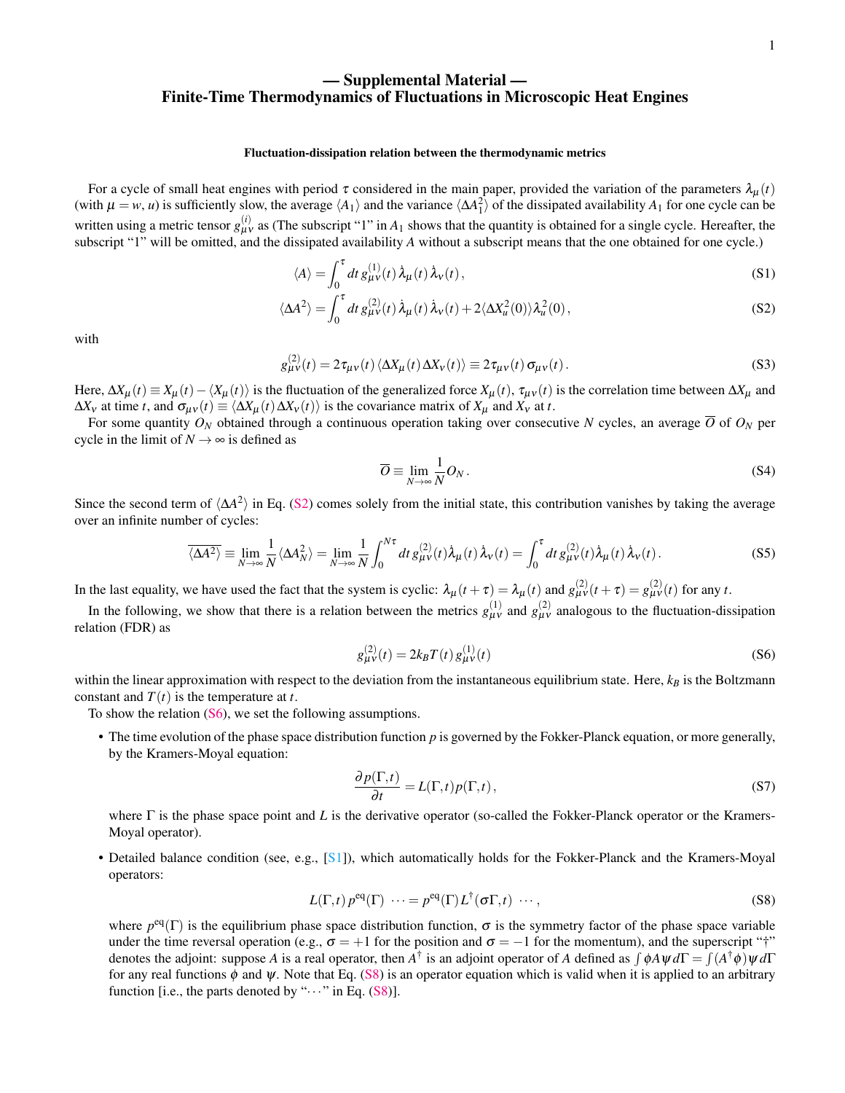# — Supplemental Material — Finite-Time Thermodynamics of Fluctuations in Microscopic Heat Engines

#### Fluctuation-dissipation relation between the thermodynamic metrics

For a cycle of small heat engines with period  $\tau$  considered in the main paper, provided the variation of the parameters  $\lambda_{\mu}(t)$ (with  $\mu = w$ , *u*) is sufficiently slow, the average  $\langle A_1 \rangle$  and the variance  $\langle \Delta A_1^2 \rangle$  of the dissipated availability  $A_1$  for one cycle can be written using a metric tensor  $g_{\mu\nu}^{(i)}$  as (The subscript "1" in  $A_1$  shows that the quantity is obtained for a single cycle. Hereafter, the subscript "1" will be omitted, and the dissipated availability *A* without a subscript means that the one obtained for one cycle.)

$$
\langle A \rangle = \int_0^{\tau} dt \, g_{\mu\nu}^{(1)}(t) \, \dot{\lambda}_{\mu}(t) \, \dot{\lambda}_{\nu}(t) \,, \tag{S1}
$$

$$
\langle \Delta A^2 \rangle = \int_0^{\tau} dt \, g_{\mu\nu}^{(2)}(t) \, \dot{\lambda}_{\mu}(t) \, \dot{\lambda}_{\nu}(t) + 2 \langle \Delta X_u^2(0) \rangle \lambda_u^2(0) \,, \tag{S2}
$$

with

$$
g_{\mu\nu}^{(2)}(t) = 2\tau_{\mu\nu}(t) \langle \Delta X_{\mu}(t) \Delta X_{\nu}(t) \rangle \equiv 2\tau_{\mu\nu}(t) \sigma_{\mu\nu}(t).
$$
 (S3)

Here,  $\Delta X_{\mu}(t) \equiv X_{\mu}(t) - \langle X_{\mu}(t) \rangle$  is the fluctuation of the generalized force  $X_{\mu}(t)$ ,  $\tau_{\mu\nu}(t)$  is the correlation time between  $\Delta X_{\mu}$  and  $\Delta X_V$  at time *t*, and  $\sigma_{\mu\nu}(t) \equiv \langle \Delta X_\mu(t) \Delta X_V(t) \rangle$  is the covariance matrix of  $X_\mu$  and  $X_V$  at *t*.

For some quantity  $O_N$  obtained through a continuous operation taking over consecutive *N* cycles, an average  $\overline{O}$  of  $O_N$  per cycle in the limit of  $N \rightarrow \infty$  is defined as

$$
\overline{O} \equiv \lim_{N \to \infty} \frac{1}{N} O_N \,. \tag{S4}
$$

Since the second term of  $\langle \Delta A^2 \rangle$  in Eq. [\(S2\)](#page-1-1) comes solely from the initial state, this contribution vanishes by taking the average over an infinite number of cycles:

$$
\overline{\langle \Delta A^2 \rangle} \equiv \lim_{N \to \infty} \frac{1}{N} \langle \Delta A_N^2 \rangle = \lim_{N \to \infty} \frac{1}{N} \int_0^{N\tau} dt \, g_{\mu\nu}^{(2)}(t) \dot{\lambda}_{\mu}(t) \dot{\lambda}_{\nu}(t) = \int_0^{\tau} dt \, g_{\mu\nu}^{(2)}(t) \dot{\lambda}_{\mu}(t) \dot{\lambda}_{\nu}(t).
$$
 (S5)

In the last equality, we have used the fact that the system is cyclic:  $\lambda_{\mu}(t+\tau) = \lambda_{\mu}(t)$  and  $g_{\mu\nu}^{(2)}(t+\tau) = g_{\mu\nu}^{(2)}(t)$  for any *t*.

In the following, we show that there is a relation between the metrics  $g_{\mu\nu}^{(1)}$  and  $g_{\mu\nu}^{(2)}$  analogous to the fluctuation-dissipation relation (FDR) as

$$
g_{\mu\nu}^{(2)}(t) = 2k_B T(t) g_{\mu\nu}^{(1)}(t)
$$
\n(S6)

within the linear approximation with respect to the deviation from the instantaneous equilibrium state. Here,  $k_B$  is the Boltzmann constant and  $T(t)$  is the temperature at *t*.

To show the relation [\(S6\)](#page-1-4), we set the following assumptions.

• The time evolution of the phase space distribution function *p* is governed by the Fokker-Planck equation, or more generally, by the Kramers-Moyal equation:

$$
\frac{\partial p(\Gamma,t)}{\partial t} = L(\Gamma,t)p(\Gamma,t),\tag{S7}
$$

where Γ is the phase space point and *L* is the derivative operator (so-called the Fokker-Planck operator or the Kramers-Moyal operator).

• Detailed balance condition (see, e.g., [\[S1\]](#page-12-0)), which automatically holds for the Fokker-Planck and the Kramers-Moyal operators:

$$
L(\Gamma, t) p^{\text{eq}}(\Gamma) \cdots = p^{\text{eq}}(\Gamma) L^{\dagger}(\sigma \Gamma, t) \cdots,
$$
\n(S8)

where  $p^{eq}(\Gamma)$  is the equilibrium phase space distribution function,  $\sigma$  is the symmetry factor of the phase space variable under the time reversal operation (e.g.,  $\sigma = +1$  for the position and  $\sigma = -1$  for the momentum), and the superscript "†" denotes the adjoint: suppose *A* is a real operator, then *A*<sup>†</sup> is an adjoint operator of *A* defined as  $\int$  φ*A*ψ *d*Γ =  $\int$  (*A*<sup>†</sup> φ) ψ *d*Γ for any real functions  $\phi$  and  $\psi$ . Note that Eq. [\(S8\)](#page-1-8) is an operator equation which is valid when it is applied to an arbitrary function [i.e., the parts denoted by " $\cdots$ " in Eq. [\(S8\)](#page-1-8)].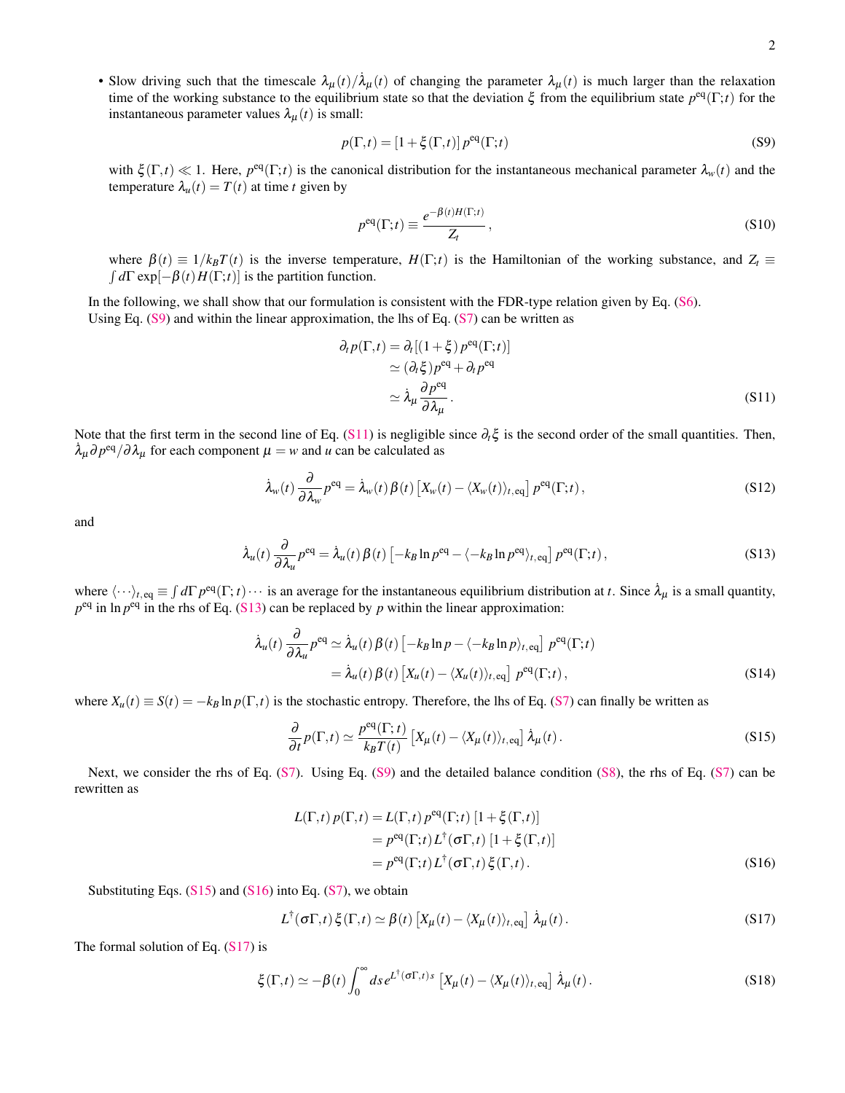• Slow driving such that the timescale  $\lambda_{\mu}(t)/\lambda_{\mu}(t)$  of changing the parameter  $\lambda_{\mu}(t)$  is much larger than the relaxation time of the working substance to the equilibrium state so that the deviation  $\xi$  from the equilibrium state  $p^{eq}(\Gamma;t)$  for the instantaneous parameter values  $\lambda_{\mu}(t)$  is small:

$$
p(\Gamma, t) = \left[1 + \xi(\Gamma, t)\right] p^{\text{eq}}(\Gamma; t)
$$
\n<sup>(S9)</sup>

with  $\xi(\Gamma,t) \ll 1$ . Here,  $p^{eq}(\Gamma;t)$  is the canonical distribution for the instantaneous mechanical parameter  $\lambda_w(t)$  and the temperature  $\lambda_u(t) = T(t)$  at time *t* given by

$$
p^{\text{eq}}(\Gamma;t) \equiv \frac{e^{-\beta(t)H(\Gamma;t)}}{Z_t},\tag{S10}
$$

where  $\beta(t) \equiv 1/k_B T(t)$  is the inverse temperature,  $H(\Gamma;t)$  is the Hamiltonian of the working substance, and  $Z_t \equiv$  $\int d\Gamma \exp[-\beta(t)H(\Gamma;t)]$  is the partition function.

In the following, we shall show that our formulation is consistent with the FDR-type relation given by Eq. [\(S6\)](#page-1-4). Using Eq.  $(S9)$  and within the linear approximation, the lhs of Eq.  $(S7)$  can be written as

$$
\partial_t p(\Gamma, t) = \partial_t [(1 + \xi) p^{\text{eq}}(\Gamma; t)]
$$
  
\n
$$
\simeq (\partial_t \xi) p^{\text{eq}} + \partial_t p^{\text{eq}}
$$
  
\n
$$
\simeq \lambda_\mu \frac{\partial p^{\text{eq}}}{\partial \lambda_\mu}.
$$
\n(S11)

Note that the first term in the second line of Eq. [\(S11\)](#page-1-9) is negligible since ∂*t*ξ is the second order of the small quantities. Then,  $\lambda_{\mu} \partial p^{\text{eq}} / \partial \lambda_{\mu}$  for each component  $\mu = w$  and  $\mu$  can be calculated as

$$
\dot{\lambda}_{w}(t) \frac{\partial}{\partial \lambda_{w}} p^{\text{eq}} = \dot{\lambda}_{w}(t) \beta(t) \left[ X_{w}(t) - \langle X_{w}(t) \rangle_{t, \text{eq}} \right] p^{\text{eq}}(\Gamma; t), \tag{S12}
$$

and

$$
\dot{\lambda}_u(t) \frac{\partial}{\partial \lambda_u} p^{\text{eq}} = \dot{\lambda}_u(t) \beta(t) \left[ -k_B \ln p^{\text{eq}} - \langle -k_B \ln p^{\text{eq}} \rangle_{t, \text{eq}} \right] p^{\text{eq}}(\Gamma; t), \tag{S13}
$$

where  $\langle \cdots \rangle_{t, \text{eq}} \equiv \int d\Gamma \, p^{\text{eq}}(\Gamma; t) \cdots$  is an average for the instantaneous equilibrium distribution at *t*. Since  $\dot{\lambda}_{\mu}$  is a small quantity,  $p^{eq}$  in ln  $p^{eq}$  in the rhs of Eq. [\(S13\)](#page-1-10) can be replaced by *p* within the linear approximation:

$$
\dot{\lambda}_{u}(t) \frac{\partial}{\partial \lambda_{u}} p^{\text{eq}} \simeq \dot{\lambda}_{u}(t) \beta(t) \left[ -k_{B} \ln p - \langle -k_{B} \ln p \rangle_{t, \text{eq}} \right] p^{\text{eq}}(\Gamma; t)
$$
\n
$$
= \dot{\lambda}_{u}(t) \beta(t) \left[ X_{u}(t) - \langle X_{u}(t) \rangle_{t, \text{eq}} \right] p^{\text{eq}}(\Gamma; t), \tag{S14}
$$

where  $X_u(t) \equiv S(t) = -k_B \ln p(\Gamma, t)$  is the stochastic entropy. Therefore, the lhs of Eq. [\(S7\)](#page-1-5) can finally be written as

$$
\frac{\partial}{\partial t}p(\Gamma,t) \simeq \frac{p^{\text{eq}}(\Gamma,t)}{k_B T(t)} \left[ X_{\mu}(t) - \langle X_{\mu}(t) \rangle_{t,\text{eq}} \right] \dot{\lambda}_{\mu}(t).
$$
\n(S15)

Next, we consider the rhs of Eq. [\(S7\)](#page-1-5). Using Eq. [\(S9\)](#page-1-6) and the detailed balance condition [\(S8\)](#page-1-8), the rhs of Eq. [\(S7\)](#page-1-5) can be rewritten as

$$
L(\Gamma, t) p(\Gamma, t) = L(\Gamma, t) p^{eq}(\Gamma; t) [1 + \xi(\Gamma, t)]
$$
  
=  $p^{eq}(\Gamma; t) L^{\dagger}(\sigma \Gamma, t) [1 + \xi(\Gamma, t)]$   
=  $p^{eq}(\Gamma; t) L^{\dagger}(\sigma \Gamma, t) \xi(\Gamma, t).$  (S16)

Substituting Eqs.  $(S15)$  and  $(S16)$  into Eq.  $(S7)$ , we obtain

$$
L^{\dagger}(\sigma \Gamma, t) \xi(\Gamma, t) \simeq \beta(t) \left[ X_{\mu}(t) - \langle X_{\mu}(t) \rangle_{t, \text{eq}} \right] \dot{\lambda}_{\mu}(t).
$$
 (S17)

The formal solution of Eq.  $(S17)$  is

$$
\xi(\Gamma,t) \simeq -\beta(t) \int_0^\infty ds \, e^{L^\dagger(\sigma \Gamma,t) s} \left[ X_\mu(t) - \langle X_\mu(t) \rangle_{t,\text{eq}} \right] \dot{\lambda}_\mu(t).
$$
 (S18)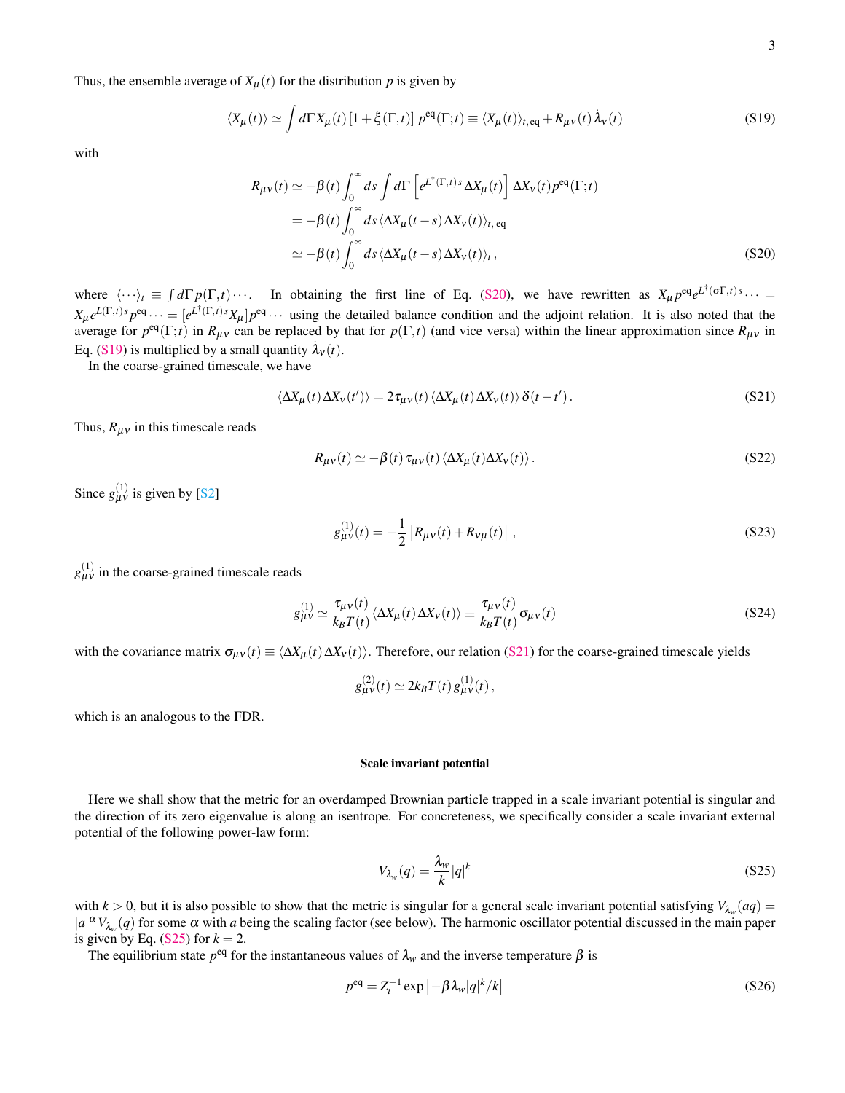Thus, the ensemble average of  $X_{\mu}(t)$  for the distribution p is given by

$$
\langle X_{\mu}(t) \rangle \simeq \int d\Gamma X_{\mu}(t) \left[ 1 + \xi(\Gamma, t) \right] p^{\text{eq}}(\Gamma; t) \equiv \langle X_{\mu}(t) \rangle_{t, \text{eq}} + R_{\mu\nu}(t) \,\dot{\lambda}_{\nu}(t) \tag{S19}
$$

with

$$
R_{\mu\nu}(t) \simeq -\beta(t) \int_0^\infty ds \int d\Gamma \left[ e^{L^\dagger(\Gamma,t)s} \Delta X_\mu(t) \right] \Delta X_\nu(t) p^{\text{eq}}(\Gamma;t)
$$
  
=  $-\beta(t) \int_0^\infty ds \langle \Delta X_\mu(t-s) \Delta X_\nu(t) \rangle_{t,\text{eq}}$   
 $\simeq -\beta(t) \int_0^\infty ds \langle \Delta X_\mu(t-s) \Delta X_\nu(t) \rangle_t,$  (S20)

where  $\langle \cdots \rangle_t \equiv \int d\Gamma p(\Gamma,t) \cdots$ . In obtaining the first line of Eq. [\(S20\)](#page-2-2), we have rewritten as  $X_\mu p^{eq} e^{L^\dagger (\sigma \Gamma,t) s} \cdots$  $X_\mu e^{L(\Gamma, t) s} p^{eq} \cdots = [e^{L^\dagger(\Gamma, t) s} X_\mu] p^{eq} \cdots$  using the detailed balance condition and the adjoint relation. It is also noted that the average for  $p^{eq}(\Gamma;t)$  in  $R_{\mu\nu}$  can be replaced by that for  $p(\Gamma,t)$  (and vice versa) within the linear approximation since  $R_{\mu\nu}$  in Eq. (S<sub>19</sub>) is multiplied by a small quantity  $\lambda_v(t)$ .

In the coarse-grained timescale, we have

$$
\langle \Delta X_{\mu}(t) \, \Delta X_{\nu}(t') \rangle = 2 \tau_{\mu \nu}(t) \, \langle \Delta X_{\mu}(t) \, \Delta X_{\nu}(t) \rangle \, \delta(t - t'). \tag{S21}
$$

Thus,  $R_{\mu\nu}$  in this timescale reads

$$
R_{\mu\nu}(t) \simeq -\beta(t) \tau_{\mu\nu}(t) \langle \Delta X_{\mu}(t) \Delta X_{\nu}(t) \rangle. \tag{S22}
$$

Since  $g_{\mu\nu}^{(1)}$  is given by [\[S2\]](#page-12-1)

$$
g_{\mu\nu}^{(1)}(t) = -\frac{1}{2} \left[ R_{\mu\nu}(t) + R_{\nu\mu}(t) \right],
$$
\n(S23)

 $g_{\mu\nu}^{(1)}$  in the coarse-grained timescale reads

$$
g_{\mu\nu}^{(1)} \simeq \frac{\tau_{\mu\nu}(t)}{k_B T(t)} \langle \Delta X_{\mu}(t) \Delta X_{\nu}(t) \rangle \equiv \frac{\tau_{\mu\nu}(t)}{k_B T(t)} \sigma_{\mu\nu}(t)
$$
(S24)

with the covariance matrix  $\sigma_{\mu\nu}(t) \equiv \langle \Delta X_{\mu}(t) \Delta X_{\nu}(t) \rangle$ . Therefore, our relation [\(S21\)](#page-2-3) for the coarse-grained timescale yields

$$
g_{\mu\nu}^{(2)}(t) \simeq 2k_BT(t) \, g_{\mu\nu}^{(1)}(t) \,,
$$

which is an analogous to the FDR.

#### Scale invariant potential

Here we shall show that the metric for an overdamped Brownian particle trapped in a scale invariant potential is singular and the direction of its zero eigenvalue is along an isentrope. For concreteness, we specifically consider a scale invariant external potential of the following power-law form:

$$
V_{\lambda_w}(q) = \frac{\lambda_w}{k} |q|^k \tag{S25}
$$

with  $k > 0$ , but it is also possible to show that the metric is singular for a general scale invariant potential satisfying  $V_{\lambda_w}(aq)$  $|a|^{\alpha}V_{\lambda_w}(q)$  for some  $\alpha$  with *a* being the scaling factor (see below). The harmonic oscillator potential discussed in the main paper is given by Eq.  $(S25)$  for  $k = 2$ .

The equilibrium state  $p^{eq}$  for the instantaneous values of  $\lambda_w$  and the inverse temperature  $\beta$  is

$$
p^{\text{eq}} = Z_t^{-1} \exp\left[-\beta \lambda_w |q|^k / k\right] \tag{S26}
$$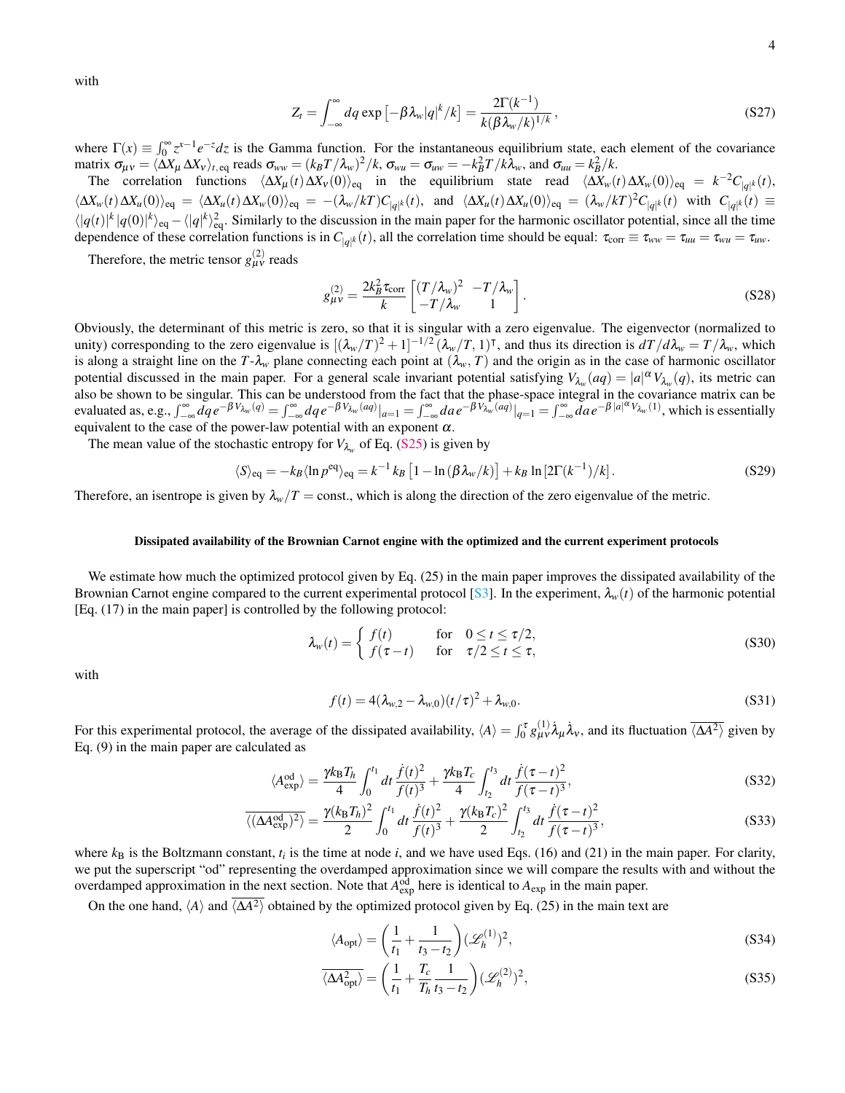with

$$
Z_t = \int_{-\infty}^{\infty} dq \exp\left[-\beta \lambda_w |q|^k / k\right] = \frac{2\Gamma(k^{-1})}{k(\beta \lambda_w / k)^{1/k}},
$$
\n(S27)

where  $\Gamma(x) \equiv \int_0^\infty z^{x-1} e^{-z} dz$  is the Gamma function. For the instantaneous equilibrium state, each element of the covariance matrix  $\sigma_{\mu\nu} = \langle \Delta X_{\mu} \Delta X_{\nu} \rangle_{t, eq}$  reads  $\sigma_{ww} = (k_B T / \lambda_w)^2 / k$ ,  $\sigma_{wu} = \sigma_{uw} = -k_B^2 T / k \lambda_w$ , and  $\sigma_{uu} = k_B^2 / k$ .

The correlation functions  $\langle \Delta X_{\mu}(t) \Delta X_{\nu}(0) \rangle_{\text{eq}}$  in the equilibrium state read  $\langle \Delta X_{\nu}(t) \Delta X_{\nu}(0) \rangle_{\text{eq}} = k^{-2}C_{|q|k}(t)$ ,  $\langle \Delta X_w(t) \Delta X_u(0) \rangle_{\text{eq}} = \langle \Delta X_u(t) \Delta X_w(0) \rangle_{\text{eq}} = -(\lambda_w/kT)C_{|q|^k}(t)$ , and  $\langle \Delta X_u(t) \Delta X_u(0) \rangle_{\text{eq}} = (\lambda_w/kT)^2C_{|q|^k}(t)$  with  $C_{|q|^k}(t) \equiv$  $\langle |q(t)|^k |q(0)|^k \rangle_{\text{eq}} - \langle |q|^k \rangle_{\text{eq}}^2$ . Similarly to the discussion in the main paper for the harmonic oscillator potential, since all the time dependence of these correlation functions is in  $C_{|q|k}(t)$ , all the correlation time should be equal:  $\tau_{corr} \equiv \tau_{ww} = \tau_{ww} = \tau_{ww} = \tau_{ww}$ .

Therefore, the metric tensor  $g_{\mu\nu}^{(2)}$  reads

$$
g_{\mu\nu}^{(2)} = \frac{2k_B^2 \tau_{\text{corr}}}{k} \begin{bmatrix} (T/\lambda_w)^2 & -T/\lambda_w \\ -T/\lambda_w & 1 \end{bmatrix}.
$$
 (S28)

Obviously, the determinant of this metric is zero, so that it is singular with a zero eigenvalue. The eigenvector (normalized to unity) corresponding to the zero eigenvalue is  $[(\lambda_w/T)^2 + 1]^{-1/2} (\lambda_w/T, 1)^T$ , and thus its direction is  $dT/d\lambda_w = T/\lambda_w$ , which is along a straight line on the  $T-\lambda_w$  plane connecting each point at  $(\lambda_w, T)$  and the origin as in the case of harmonic oscillator potential discussed in the main paper. For a general scale invariant potential satisfying  $V_{\lambda_w}(aq) = |a|^\alpha V_{\lambda_w}(q)$ , its metric can also be shown to be singular. This can be understood from the fact that the phase-space integral in the covariance matrix can be evaluated as, e.g.,  $\int_{-\infty}^{\infty} dq e^{-\beta V_{\lambda_w}(q)} = \int_{-\infty}^{\infty} dq e^{-\beta V_{\lambda_w}(aq)} |_{a=1} = \int_{-\infty}^{\infty} da e^{-\beta V_{\lambda_w}(aq)} |_{q=1} = \int_{-\infty}^{\infty} da e^{-\beta |a|^{a} V_{\lambda_w}(1)}$ , which is essentially equivalent to the case of the power-law potential with an exponent  $\alpha$ .

The mean value of the stochastic entropy for  $V_{\lambda_w}$  of Eq. [\(S25\)](#page-3-3) is given by

$$
\langle S \rangle_{\text{eq}} = -k_B \langle \ln p^{\text{eq}} \rangle_{\text{eq}} = k^{-1} k_B \left[ 1 - \ln \left( \beta \lambda_w / k \right) \right] + k_B \ln \left[ 2 \Gamma(k^{-1}) / k \right]. \tag{S29}
$$

Therefore, an isentrope is given by  $\lambda_w/T = \text{const.}$ , which is along the direction of the zero eigenvalue of the metric.

#### Dissipated availability of the Brownian Carnot engine with the optimized and the current experiment protocols

We estimate how much the optimized protocol given by Eq. (25) in the main paper improves the dissipated availability of the Brownian Carnot engine compared to the current experimental protocol [\[S3\]](#page-12-2). In the experiment,  $\lambda_w(t)$  of the harmonic potential [Eq. (17) in the main paper] is controlled by the following protocol:

$$
\lambda_w(t) = \begin{cases} f(t) & \text{for} \quad 0 \le t \le \tau/2, \\ f(\tau - t) & \text{for} \quad \tau/2 \le t \le \tau, \end{cases} \tag{S30}
$$

with

$$
f(t) = 4(\lambda_{w,2} - \lambda_{w,0})(t/\tau)^2 + \lambda_{w,0}.
$$
 (S31)

For this experimental protocol, the average of the dissipated availability,  $\langle A \rangle = \int_0^{\tau} g_{\mu\nu}^{(1)} \dot{\lambda}_{\mu} \dot{\lambda}_{\nu}$ , and its fluctuation  $\langle \Delta A^2 \rangle$  given by Eq. (9) in the main paper are calculated as

$$
\langle A_{\text{exp}}^{\text{od}} \rangle = \frac{\gamma k_{\text{B}} T_h}{4} \int_0^{t_1} dt \, \frac{\dot{f}(t)^2}{f(t)^3} + \frac{\gamma k_{\text{B}} T_c}{4} \int_{t_2}^{t_3} dt \, \frac{\dot{f}(\tau - t)^2}{f(\tau - t)^3},\tag{S32}
$$

$$
\overline{\langle (\Delta A_{\text{exp}}^{\text{od}})^2 \rangle} = \frac{\gamma (k_{\text{B}} T_h)^2}{2} \int_0^{t_1} dt \frac{\dot{f}(t)^2}{f(t)^3} + \frac{\gamma (k_{\text{B}} T_c)^2}{2} \int_{t_2}^{t_3} dt \frac{\dot{f}(\tau - t)^2}{f(\tau - t)^3},
$$
(S33)

where  $k_B$  is the Boltzmann constant,  $t_i$  is the time at node  $i$ , and we have used Eqs. (16) and (21) in the main paper. For clarity, we put the superscript "od" representing the overdamped approximation since we will compare the results with and without the overdamped approximation in the next section. Note that  $A_{exp}^{od}$  here is identical to  $A_{exp}$  in the main paper.

On the one hand,  $\langle A \rangle$  and  $\langle \Delta A^2 \rangle$  obtained by the optimized protocol given by Eq. (25) in the main text are

$$
\langle A_{\text{opt}} \rangle = \left(\frac{1}{t_1} + \frac{1}{t_3 - t_2}\right) (\mathcal{L}_h^{(1)})^2,\tag{S34}
$$

$$
\overline{\langle \Delta A_{\rm opt}^2 \rangle} = \left(\frac{1}{t_1} + \frac{T_c}{T_h} \frac{1}{t_3 - t_2}\right) (\mathscr{L}_h^{(2)})^2,
$$
\n(S35)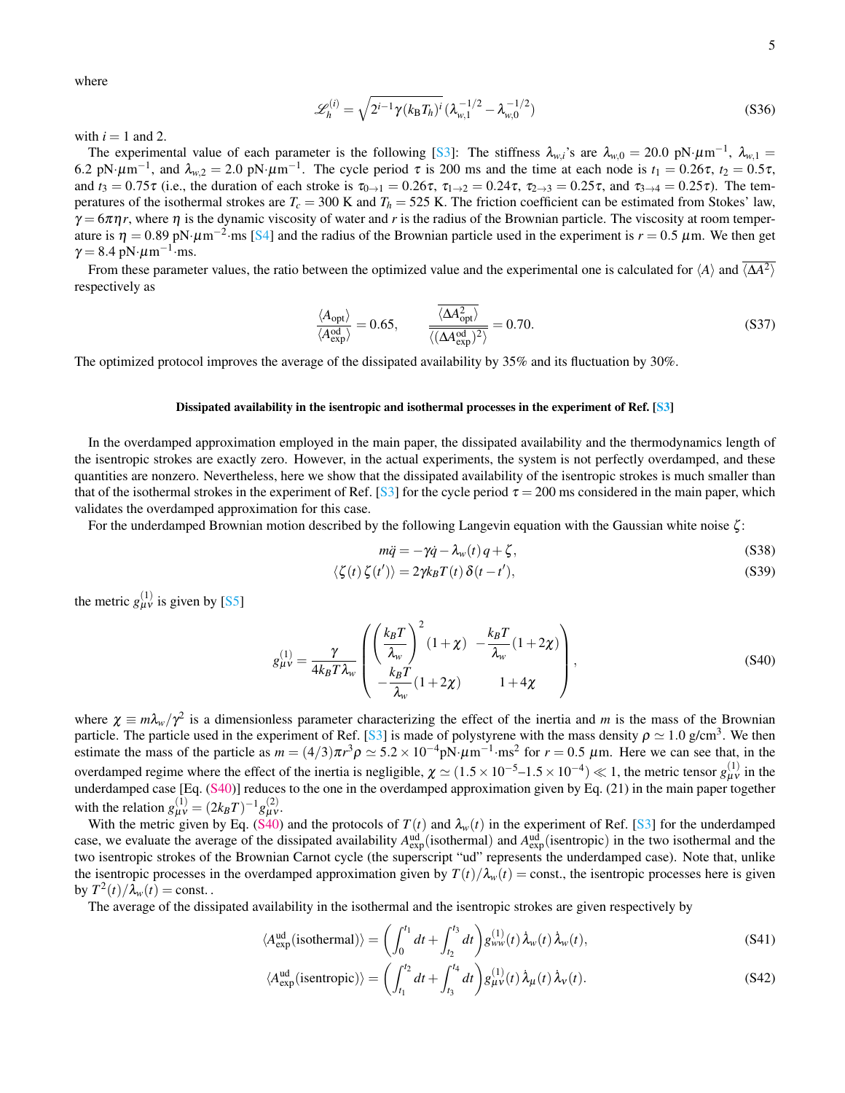where

$$
\mathcal{L}_h^{(i)} = \sqrt{2^{i-1}\gamma (k_\text{B}T_h)^i} (\lambda_{w,1}^{-1/2} - \lambda_{w,0}^{-1/2})
$$
\n(S36)

with  $i = 1$  and 2.

The experimental value of each parameter is the following [\[S3\]](#page-12-2): The stiffness  $\lambda_{w,i}$ 's are  $\lambda_{w,0} = 20.0 \text{ pN·}\mu\text{m}^{-1}$ ,  $\lambda_{w,1} =$ 6.2 pN·μm<sup>-1</sup>, and  $\lambda_{w,2} = 2.0$  pN·μm<sup>-1</sup>. The cycle period τ is 200 ms and the time at each node is  $t_1 = 0.26\tau$ ,  $t_2 = 0.5\tau$ , and  $t_3 = 0.75\tau$  (i.e., the duration of each stroke is  $\tau_{0\to1} = 0.26\tau$ ,  $\tau_{1\to2} = 0.24\tau$ ,  $\tau_{2\to3} = 0.25\tau$ , and  $\tau_{3\to4} = 0.25\tau$ ). The temperatures of the isothermal strokes are  $T_c = 300$  K and  $T_h = 525$  K. The friction coefficient can be estimated from Stokes' law,  $\gamma = 6\pi\eta r$ , where  $\eta$  is the dynamic viscosity of water and r is the radius of the Brownian particle. The viscosity at room temperature is  $\eta = 0.89 \text{ pN·}\mu\text{m}^{-2}\text{·ms}$  [\[S4\]](#page-12-3) and the radius of the Brownian particle used in the experiment is  $r = 0.5 \mu\text{m}$ . We then get  $\gamma = 8.4 \text{ pN} \cdot \mu \text{m}^{-1} \cdot \text{ms}.$ 

From these parameter values, the ratio between the optimized value and the experimental one is calculated for  $\langle A \rangle$  and  $\overline{\langle \Delta A^2 \rangle}$ respectively as

$$
\frac{\langle A_{\text{opt}}\rangle}{\langle A_{\text{exp}}^{\text{od}}\rangle} = 0.65, \qquad \frac{\langle \Delta A_{\text{opt}}^2 \rangle}{\langle (\Delta A_{\text{exp}}^{\text{od}})^2 \rangle} = 0.70. \tag{S37}
$$

The optimized protocol improves the average of the dissipated availability by 35% and its fluctuation by 30%.

### Dissipated availability in the isentropic and isothermal processes in the experiment of Ref. [\[S3\]](#page-12-2)

In the overdamped approximation employed in the main paper, the dissipated availability and the thermodynamics length of the isentropic strokes are exactly zero. However, in the actual experiments, the system is not perfectly overdamped, and these quantities are nonzero. Nevertheless, here we show that the dissipated availability of the isentropic strokes is much smaller than that of the isothermal strokes in the experiment of Ref. [\[S3\]](#page-12-2) for the cycle period  $\tau = 200$  ms considered in the main paper, which validates the overdamped approximation for this case.

For the underdamped Brownian motion described by the following Langevin equation with the Gaussian white noise ζ :

<span id="page-11-0"></span>
$$
m\ddot{q} = -\gamma \dot{q} - \lambda_w(t)q + \zeta,
$$
\n(S38)

$$
\langle \zeta(t) \zeta(t') \rangle = 2\gamma k_B T(t) \, \delta(t - t'), \tag{S39}
$$

the metric  $g_{\mu\nu}^{(1)}$  is given by [\[S5\]](#page-12-4)

$$
g_{\mu\nu}^{(1)} = \frac{\gamma}{4k_B T \lambda_w} \left( \begin{pmatrix} \frac{k_B T}{\lambda_w} \\ \frac{k_B T}{\lambda_w} \end{pmatrix}^2 (1 + \chi) - \frac{k_B T}{\lambda_w} (1 + 2\chi) \right),
$$
\n
$$
(\text{S40})
$$

where  $\chi \equiv m \lambda_w / \gamma^2$  is a dimensionless parameter characterizing the effect of the inertia and *m* is the mass of the Brownian particle. The particle used in the experiment of Ref. [\[S3\]](#page-12-2) is made of polystyrene with the mass density  $\rho \simeq 1.0$  g/cm<sup>3</sup>. We then estimate the mass of the particle as  $m = (4/3)\pi r^3 \rho \approx 5.2 \times 10^{-4} \text{pN·}\mu\text{m}^{-1}\cdot\text{ms}^2$  for  $r = 0.5 \mu\text{m}$ . Here we can see that, in the overdamped regime where the effect of the inertia is negligible,  $\chi \simeq (1.5 \times 10^{-5} - 1.5 \times 10^{-4}) \ll 1$ , the metric tensor  $g_{\mu\nu}^{(1)}$  in the underdamped case [Eq. [\(S40\)](#page-11-0)] reduces to the one in the overdamped approximation given by Eq. (21) in the main paper together with the relation  $g_{\mu\nu}^{(1)} = (2k_BT)^{-1}g_{\mu\nu}^{(2)}$ .

With the metric given by Eq. [\(S40\)](#page-11-0) and the protocols of  $T(t)$  and  $\lambda_w(t)$  in the experiment of Ref. [\[S3\]](#page-12-2) for the underdamped case, we evaluate the average of the dissipated availability  $A_{exp}^{ud}$  (isothermal) and  $A_{exp}^{ud}$  (isentropic) in the two isothermal and the two isentropic strokes of the Brownian Carnot cycle (the superscript "ud" represents the underdamped case). Note that, unlike the isentropic processes in the overdamped approximation given by  $T(t)/\lambda_w(t) = \text{const.}$ , the isentropic processes here is given by  $T^2(t)/\lambda_w(t) = \text{const.}$ .

The average of the dissipated availability in the isothermal and the isentropic strokes are given respectively by

$$
\langle A_{\text{exp}}^{\text{ud}}(\text{isothermal}) \rangle = \left( \int_0^{t_1} dt + \int_{t_2}^{t_3} dt \right) g_{\text{ww}}^{(1)}(t) \,\dot{\lambda}_w(t) \,\dot{\lambda}_w(t), \tag{S41}
$$

$$
\langle A_{\text{exp}}^{\text{ud}}(\text{isentropic}) \rangle = \left( \int_{t_1}^{t_2} dt + \int_{t_3}^{t_4} dt \right) g_{\mu\nu}^{(1)}(t) \,\dot{\lambda}_{\mu}(t) \,\dot{\lambda}_{\nu}(t). \tag{S42}
$$